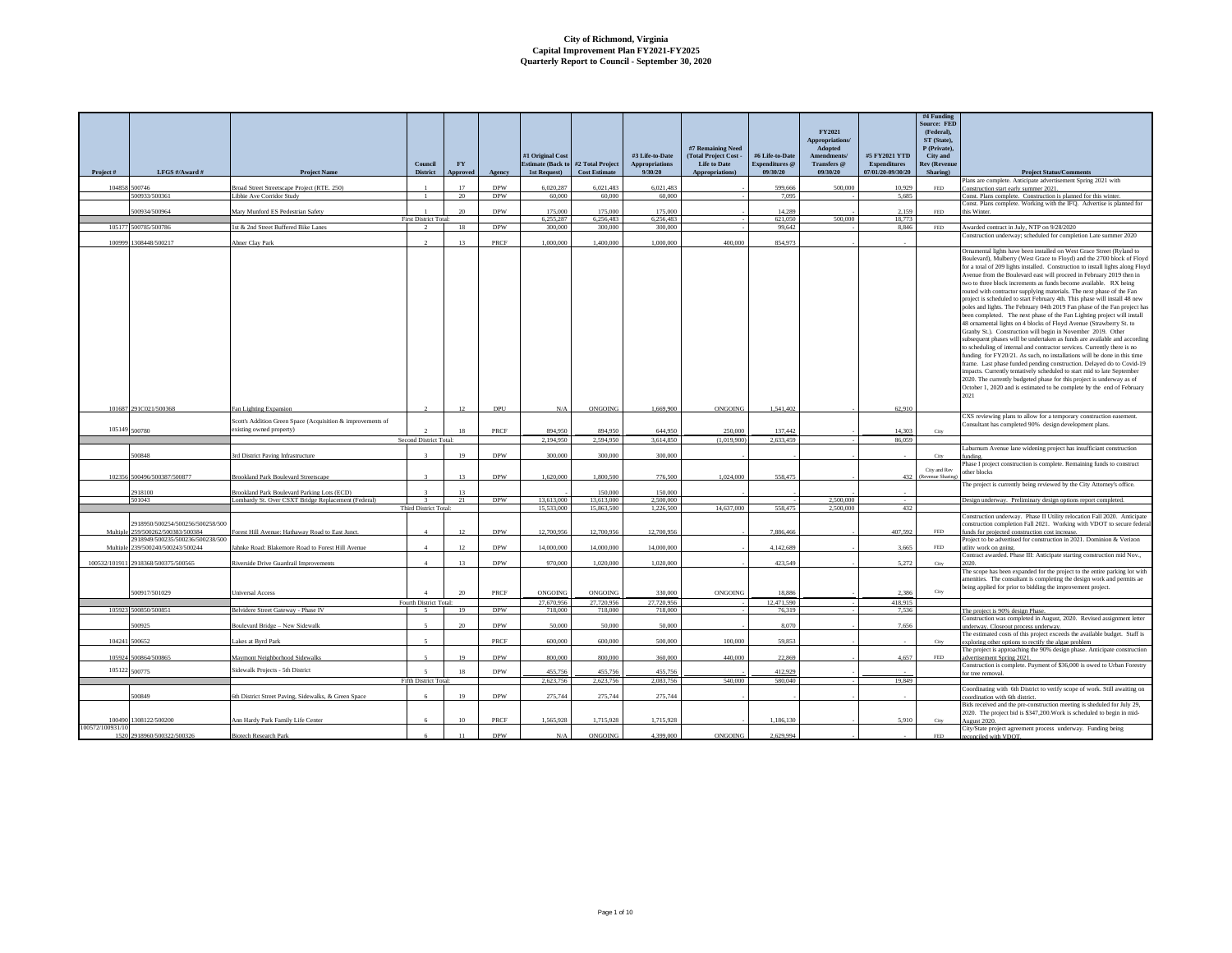|                          | LFGS #/Award #                                               |                                                                                                    | Council                                | ${\bf F}{\bf Y}$ |            | #1 Original Cost<br><b>Estimate (Back to #2 Total Project</b> |                       | #3 Life-to-Date<br><b>Appropriations</b><br>9/30/20 | #7 Remaining Need<br>(Total Project Cost -<br><b>Life to Date</b> | #6 Life-to-Date<br>Expenditures @<br>09/30/20 | FY2021<br>Appropriations/<br>Adopted<br>Amendments/<br>Transfers @<br>09/30/20 | #5 FY2021 YTD<br>Expenditures<br>07/01/20-09/30/20 | #4 Funding<br>Source: FED<br>(Federal),<br>ST (State).<br>P (Private).<br>City and<br><b>Rev</b> (Revenue |                                                                                                                                                                                                                                                                                                                                                                                                                                                                                                                                                                                                                                                                                                                                                                                                                                                                                                                                                                                                                                                                                                                                                                                                                                                                                                                                                                                           |
|--------------------------|--------------------------------------------------------------|----------------------------------------------------------------------------------------------------|----------------------------------------|------------------|------------|---------------------------------------------------------------|-----------------------|-----------------------------------------------------|-------------------------------------------------------------------|-----------------------------------------------|--------------------------------------------------------------------------------|----------------------------------------------------|-----------------------------------------------------------------------------------------------------------|-------------------------------------------------------------------------------------------------------------------------------------------------------------------------------------------------------------------------------------------------------------------------------------------------------------------------------------------------------------------------------------------------------------------------------------------------------------------------------------------------------------------------------------------------------------------------------------------------------------------------------------------------------------------------------------------------------------------------------------------------------------------------------------------------------------------------------------------------------------------------------------------------------------------------------------------------------------------------------------------------------------------------------------------------------------------------------------------------------------------------------------------------------------------------------------------------------------------------------------------------------------------------------------------------------------------------------------------------------------------------------------------|
| Project#                 |                                                              | <b>Project Name</b>                                                                                | <b>District</b>                        | Approved         | Agency     | 1st Request)                                                  | <b>Cost Estimate</b>  |                                                     | Appropriations)                                                   |                                               |                                                                                |                                                    | Sharing)                                                                                                  | <b>Project Status/Comments</b><br>Plans are complete. Anticipate advertisement Spring 2021 with                                                                                                                                                                                                                                                                                                                                                                                                                                                                                                                                                                                                                                                                                                                                                                                                                                                                                                                                                                                                                                                                                                                                                                                                                                                                                           |
| 104858                   | 500746                                                       | Broad Street Streetscape Project (RTE, 250)                                                        |                                        | 17               | <b>DPW</b> | 6.020.287                                                     | 6.021.483             | 6.021.483                                           |                                                                   | 599.666                                       | 500,000                                                                        | 10.929                                             | $\ensuremath{\mathsf{FED}}$                                                                               | Construction start early summer 2021.                                                                                                                                                                                                                                                                                                                                                                                                                                                                                                                                                                                                                                                                                                                                                                                                                                                                                                                                                                                                                                                                                                                                                                                                                                                                                                                                                     |
|                          | 500933/500361                                                | Libbie Ave Corridor Study                                                                          |                                        | 20               | <b>DPW</b> | 60,000                                                        | 60,000                | 60,000                                              |                                                                   | 7.095                                         |                                                                                | 5.685                                              |                                                                                                           | Const. Plans complete. Construction is planned for this winter.<br>Const. Plans complete. Working with the IFQ. Advertise is planned for                                                                                                                                                                                                                                                                                                                                                                                                                                                                                                                                                                                                                                                                                                                                                                                                                                                                                                                                                                                                                                                                                                                                                                                                                                                  |
|                          | 500934/500964                                                | Mary Munford ES Pedestrian Safety                                                                  |                                        | 20               | <b>DPW</b> | 175,000                                                       | 175,000               | 175,000                                             |                                                                   | 14.289                                        |                                                                                | 2.159                                              | FED.                                                                                                      | this Winter.                                                                                                                                                                                                                                                                                                                                                                                                                                                                                                                                                                                                                                                                                                                                                                                                                                                                                                                                                                                                                                                                                                                                                                                                                                                                                                                                                                              |
|                          | 105177 500785/500786                                         | 1st & 2nd Street Buffered Bike Lanes                                                               | <b>First District Total:</b><br>$\sim$ | 18               | <b>DPW</b> | 6.255.287<br>300,000                                          | 6.256.483<br>300,000  | 6,256,483<br>300,000                                |                                                                   | 621.050<br>99,642                             | 500,000                                                                        | 18,773<br>8.846                                    | $\ensuremath{\mathsf{FED}}$                                                                               | Awarded contract in July, NTP on 9/28/2020                                                                                                                                                                                                                                                                                                                                                                                                                                                                                                                                                                                                                                                                                                                                                                                                                                                                                                                                                                                                                                                                                                                                                                                                                                                                                                                                                |
|                          |                                                              |                                                                                                    |                                        |                  |            |                                                               |                       |                                                     |                                                                   |                                               |                                                                                |                                                    |                                                                                                           | Construction underway; scheduled for completion Late summer 2020                                                                                                                                                                                                                                                                                                                                                                                                                                                                                                                                                                                                                                                                                                                                                                                                                                                                                                                                                                                                                                                                                                                                                                                                                                                                                                                          |
| 100999                   | 1308448/500217                                               | Abner Clay Park                                                                                    | $\overline{2}$                         | 13               | PRCF       | 1.000,000                                                     | 1,400,000             | 1,000,000                                           | 400,000                                                           | 854,973                                       |                                                                                |                                                    |                                                                                                           | Ornamental lights have been installed on West Grace Street (Ryland to<br>Boulevard), Mulberry (West Grace to Floyd) and the 2700 block of Floyd<br>for a total of 209 lights installed. Construction to install lights along Floyd<br>Avenue from the Boulevard east will proceed in February 2019 then in<br>two to three block increments as funds become available. RX being<br>routed with contractor supplying materials. The next phase of the Fan<br>project is scheduled to start February 4th. This phase will install 48 new<br>poles and lights. The February 04th 2019 Fan phase of the Fan project has<br>been completed. The next phase of the Fan Lighting project will install<br>48 ornamental lights on 4 blocks of Floyd Avenue (Strawberry St. to<br>Granby St.). Construction will begin in November 2019. Other<br>subsequent phases will be undertaken as funds are available and according<br>to scheduling of internal and contractor services. Currently there is no<br>funding for FY20/21. As such, no installations will be done in this time<br>frame. Last phase funded pending construction. Delayed do to Covid-19<br>impacts. Currently tentatively scheduled to start mid to late September<br>2020. The currently budgeted phase for this project is underway as of<br>October 1, 2020 and is estimated to be complete by the end of February<br>2021 |
| 101687                   | 291C021/500368                                               | Fan Lighting Expansion                                                                             |                                        | 12               | DPU        | ${\rm N/A}$                                                   | ONGOING               | 1,669,900                                           | ONGOING                                                           | 1,541,402                                     |                                                                                | 62,910                                             |                                                                                                           |                                                                                                                                                                                                                                                                                                                                                                                                                                                                                                                                                                                                                                                                                                                                                                                                                                                                                                                                                                                                                                                                                                                                                                                                                                                                                                                                                                                           |
|                          |                                                              | Scott's Addition Green Space (Acquisition & improvements of                                        |                                        |                  |            |                                                               |                       |                                                     |                                                                   |                                               |                                                                                |                                                    |                                                                                                           | CXS reviewing plans to allow for a temporary construction easement.                                                                                                                                                                                                                                                                                                                                                                                                                                                                                                                                                                                                                                                                                                                                                                                                                                                                                                                                                                                                                                                                                                                                                                                                                                                                                                                       |
|                          | 105149 500780                                                | existing owned property)                                                                           | $\overline{ }$                         | 18               | PRCF       | 894 950                                                       | 894.950               | 644 950                                             | 250,000                                                           | 137.442                                       |                                                                                | 14.303                                             | City                                                                                                      | Consultant has completed 90% design development plans.                                                                                                                                                                                                                                                                                                                                                                                                                                                                                                                                                                                                                                                                                                                                                                                                                                                                                                                                                                                                                                                                                                                                                                                                                                                                                                                                    |
|                          |                                                              |                                                                                                    | Second District Total:                 |                  |            | 2,194,950                                                     | 2,594,950             | 3,614,850                                           | (1,019,900)                                                       | 2,633,459                                     |                                                                                | 86,059                                             |                                                                                                           |                                                                                                                                                                                                                                                                                                                                                                                                                                                                                                                                                                                                                                                                                                                                                                                                                                                                                                                                                                                                                                                                                                                                                                                                                                                                                                                                                                                           |
|                          | 500848                                                       | 3rd District Paving Infrastructure                                                                 | $\mathbf{R}$                           | 19               | <b>DPW</b> | 300,000                                                       | 300,000               | 300,000                                             |                                                                   |                                               |                                                                                |                                                    | City                                                                                                      | Laburnum Avenue lane widening project has insufficiant construction                                                                                                                                                                                                                                                                                                                                                                                                                                                                                                                                                                                                                                                                                                                                                                                                                                                                                                                                                                                                                                                                                                                                                                                                                                                                                                                       |
| 102356                   | 500496/500387/500877                                         | <b>Brookland Park Boulevard Streetscape</b>                                                        | $\mathbf{R}$                           | 13               | <b>DPW</b> | 1,620,000                                                     | 1,800,500             | 776,500                                             | 1,024,000                                                         | 558,475                                       |                                                                                | 432                                                | City and Rev<br>Revenue Sharing                                                                           | Phase I project construction is complete. Remaining funds to construct<br>other blocks                                                                                                                                                                                                                                                                                                                                                                                                                                                                                                                                                                                                                                                                                                                                                                                                                                                                                                                                                                                                                                                                                                                                                                                                                                                                                                    |
|                          |                                                              |                                                                                                    |                                        | 13               |            |                                                               |                       |                                                     |                                                                   |                                               |                                                                                |                                                    |                                                                                                           | The project is currently being reviewed by the City Attorney's office.                                                                                                                                                                                                                                                                                                                                                                                                                                                                                                                                                                                                                                                                                                                                                                                                                                                                                                                                                                                                                                                                                                                                                                                                                                                                                                                    |
|                          | 918100<br>501043                                             | Brookland Park Boulevard Parking Lots (ECD)<br>Lombardy St. Over CSXT Bridge Replacement (Federal) |                                        | 21               | <b>DPW</b> | 13,613,000                                                    | 150,000<br>13,613,000 | 150,000<br>2,500,000                                |                                                                   |                                               | 2.500,000                                                                      |                                                    |                                                                                                           | Design underway. Preliminary design options report completed.                                                                                                                                                                                                                                                                                                                                                                                                                                                                                                                                                                                                                                                                                                                                                                                                                                                                                                                                                                                                                                                                                                                                                                                                                                                                                                                             |
|                          |                                                              |                                                                                                    | Third District Total:                  |                  |            | 15,533,000                                                    | 15,863,500            | 1,226,500                                           | 14,637,000                                                        | 558,475                                       | 2.500,000                                                                      | 432                                                |                                                                                                           |                                                                                                                                                                                                                                                                                                                                                                                                                                                                                                                                                                                                                                                                                                                                                                                                                                                                                                                                                                                                                                                                                                                                                                                                                                                                                                                                                                                           |
| Multipl                  | 2918950/500254/500256/500258/500<br>259/500262/500383/500384 | Forest Hill Avenue: Hathaway Road to East Junct.                                                   | $\overline{4}$                         | 12               | <b>DPW</b> | 12,700,956                                                    | 12,700,956            | 12,700,956                                          |                                                                   | 7,886,466                                     |                                                                                | 407,592                                            | $\ensuremath{\mathsf{FED}}$                                                                               | Construction underway. Phase II Utility relocation Fall 2020. Anticipate<br>construction completion Fall 2021. Working with VDOT to secure federal<br>funds for projected construction cost increase.                                                                                                                                                                                                                                                                                                                                                                                                                                                                                                                                                                                                                                                                                                                                                                                                                                                                                                                                                                                                                                                                                                                                                                                     |
| Multip                   | 2918949/500235/500236/500238/500<br>139/500240/500243/500244 | Jahnke Road: Blakemore Road to Forest Hill Avenue                                                  | $\overline{4}$                         | 12               | <b>DPW</b> | 14,000,000                                                    | 14,000,000            | 14,000,000                                          |                                                                   | 4.142.689                                     |                                                                                | 3.665                                              | FED                                                                                                       | Project to be advertised for construction in 2021. Dominion & Verizon<br>utlity work on going.                                                                                                                                                                                                                                                                                                                                                                                                                                                                                                                                                                                                                                                                                                                                                                                                                                                                                                                                                                                                                                                                                                                                                                                                                                                                                            |
|                          |                                                              |                                                                                                    |                                        |                  |            |                                                               |                       |                                                     |                                                                   |                                               |                                                                                |                                                    |                                                                                                           | Contract awarded. Phase III: Anticipate starting construction mid Nov.,                                                                                                                                                                                                                                                                                                                                                                                                                                                                                                                                                                                                                                                                                                                                                                                                                                                                                                                                                                                                                                                                                                                                                                                                                                                                                                                   |
| 100532/101911            | 2918368/500375/500565                                        | Riverside Drive Guardrail Improvements                                                             | $\boldsymbol{\Lambda}$                 | 13               | <b>DPW</b> | 970,000                                                       | 1.020,000             | 1.020,000                                           |                                                                   | 423.549                                       |                                                                                | 5,272                                              | City                                                                                                      | The scope has been expanded for the project to the entire parking lot with                                                                                                                                                                                                                                                                                                                                                                                                                                                                                                                                                                                                                                                                                                                                                                                                                                                                                                                                                                                                                                                                                                                                                                                                                                                                                                                |
|                          |                                                              |                                                                                                    |                                        |                  |            |                                                               |                       |                                                     |                                                                   |                                               |                                                                                |                                                    |                                                                                                           | amenities. The consultant is completing the design work and permits ae                                                                                                                                                                                                                                                                                                                                                                                                                                                                                                                                                                                                                                                                                                                                                                                                                                                                                                                                                                                                                                                                                                                                                                                                                                                                                                                    |
|                          | 500917/501029                                                | Universal Access                                                                                   | $\overline{4}$                         | 20               | PRCF       | ONGOING                                                       | ONGOING               | 330,000                                             | ONGOING                                                           | 18,886                                        |                                                                                | 2,386                                              | City                                                                                                      | being applied for prior to bidding the improvement project.                                                                                                                                                                                                                                                                                                                                                                                                                                                                                                                                                                                                                                                                                                                                                                                                                                                                                                                                                                                                                                                                                                                                                                                                                                                                                                                               |
|                          |                                                              |                                                                                                    | Fourth District Total:                 |                  |            | 27.670.956                                                    | 27,720,956            | 27,720,956                                          |                                                                   | 12.471.590                                    |                                                                                | 418,915                                            |                                                                                                           |                                                                                                                                                                                                                                                                                                                                                                                                                                                                                                                                                                                                                                                                                                                                                                                                                                                                                                                                                                                                                                                                                                                                                                                                                                                                                                                                                                                           |
|                          | 105923 500850/500851                                         | Belvidere Street Gateway - Phase IV                                                                | $\sim$                                 | 19               | <b>DPW</b> | 718,000                                                       | 718,000               | 718,000                                             |                                                                   | 76.319                                        |                                                                                | 7,536                                              |                                                                                                           | The project is 90% design Phase.                                                                                                                                                                                                                                                                                                                                                                                                                                                                                                                                                                                                                                                                                                                                                                                                                                                                                                                                                                                                                                                                                                                                                                                                                                                                                                                                                          |
|                          | 500925                                                       | Boulevard Bridge - New Sidewalk                                                                    | $\leq$                                 | 20               | <b>DPW</b> | 50,000                                                        | 50,000                | 50,000                                              |                                                                   | 8.070                                         |                                                                                | 7,656                                              |                                                                                                           | Construction was completed in August, 2020. Revised assignment letter<br>underway. Closeout process underway.<br>The estimated costs of this project exceeds the available budget. Staff is                                                                                                                                                                                                                                                                                                                                                                                                                                                                                                                                                                                                                                                                                                                                                                                                                                                                                                                                                                                                                                                                                                                                                                                               |
| 104241                   | 500652                                                       | Lakes at Byrd Park                                                                                 |                                        |                  | PRCF       | 600,000                                                       | 600,000               | 500,000                                             | 100,000                                                           | 59,853                                        |                                                                                |                                                    | City                                                                                                      | exploring other options to rectify the algae problem                                                                                                                                                                                                                                                                                                                                                                                                                                                                                                                                                                                                                                                                                                                                                                                                                                                                                                                                                                                                                                                                                                                                                                                                                                                                                                                                      |
| 105924                   | 500864/500865                                                | Maymont Neighborhood Sidewalks                                                                     | $\leq$                                 | 19               | <b>DPW</b> | 800,000                                                       | 800,000               | 360,000                                             | 440,000                                                           | 22,869                                        |                                                                                | 4.657                                              | $\ensuremath{\mathsf{FED}}$                                                                               | The project is approaching the 90% design phase. Anticipate construction<br>advertisement Spring 2021.                                                                                                                                                                                                                                                                                                                                                                                                                                                                                                                                                                                                                                                                                                                                                                                                                                                                                                                                                                                                                                                                                                                                                                                                                                                                                    |
| 105122 500775            |                                                              | Sidewalk Projects - 5th District                                                                   | $\leq$                                 | 18               | <b>DPW</b> | 455,756                                                       | 455,756               | 455,756                                             |                                                                   | 412.929                                       |                                                                                |                                                    |                                                                                                           | Construction is complete. Payment of \$36,000 is owed to Urban Forestry                                                                                                                                                                                                                                                                                                                                                                                                                                                                                                                                                                                                                                                                                                                                                                                                                                                                                                                                                                                                                                                                                                                                                                                                                                                                                                                   |
|                          |                                                              |                                                                                                    | Fifth District Total:                  |                  |            | 2.623.756                                                     | 2.623,756             | 2,083,756                                           | 540,000                                                           | 580.040                                       |                                                                                | 19.849                                             |                                                                                                           | for tree removal.                                                                                                                                                                                                                                                                                                                                                                                                                                                                                                                                                                                                                                                                                                                                                                                                                                                                                                                                                                                                                                                                                                                                                                                                                                                                                                                                                                         |
|                          |                                                              |                                                                                                    |                                        |                  |            |                                                               |                       |                                                     |                                                                   |                                               |                                                                                |                                                    |                                                                                                           | Coordinating with 6th District to verify scope of work. Still awaiting on                                                                                                                                                                                                                                                                                                                                                                                                                                                                                                                                                                                                                                                                                                                                                                                                                                                                                                                                                                                                                                                                                                                                                                                                                                                                                                                 |
|                          | 500849                                                       | 6th District Street Paving, Sidewalks, & Green Space                                               |                                        | 19               | <b>DPW</b> | 275.744                                                       | 275,744               | 275,744                                             |                                                                   |                                               |                                                                                |                                                    |                                                                                                           | coordination with 6th district.<br>Bids received and the pre-construction meeting is sheduled for July 29,<br>2020. The project bid is \$347,200. Work is scheduled to begin in mid-                                                                                                                                                                                                                                                                                                                                                                                                                                                                                                                                                                                                                                                                                                                                                                                                                                                                                                                                                                                                                                                                                                                                                                                                      |
| 100490                   | 1308122/500200                                               | Ann Hardy Park Family Life Center                                                                  | 6                                      | 10               | PRCF       | 1,565,928                                                     | 1,715,928             | 1,715,928                                           |                                                                   | 1,186,130                                     |                                                                                | 5,910                                              |                                                                                                           | August 2020.                                                                                                                                                                                                                                                                                                                                                                                                                                                                                                                                                                                                                                                                                                                                                                                                                                                                                                                                                                                                                                                                                                                                                                                                                                                                                                                                                                              |
| 100572/100931/10<br>1520 | 2918960/500322/500326                                        | <b>Riotech Research Parl</b>                                                                       |                                        | 11               | <b>DPW</b> | N/4                                                           | ONGOING               | 4,399,000                                           | ONGOING                                                           | 2.629.994                                     |                                                                                |                                                    | <b>FED</b>                                                                                                | City/State project agreement process underway. Funding being<br>reconciled with VDOT.                                                                                                                                                                                                                                                                                                                                                                                                                                                                                                                                                                                                                                                                                                                                                                                                                                                                                                                                                                                                                                                                                                                                                                                                                                                                                                     |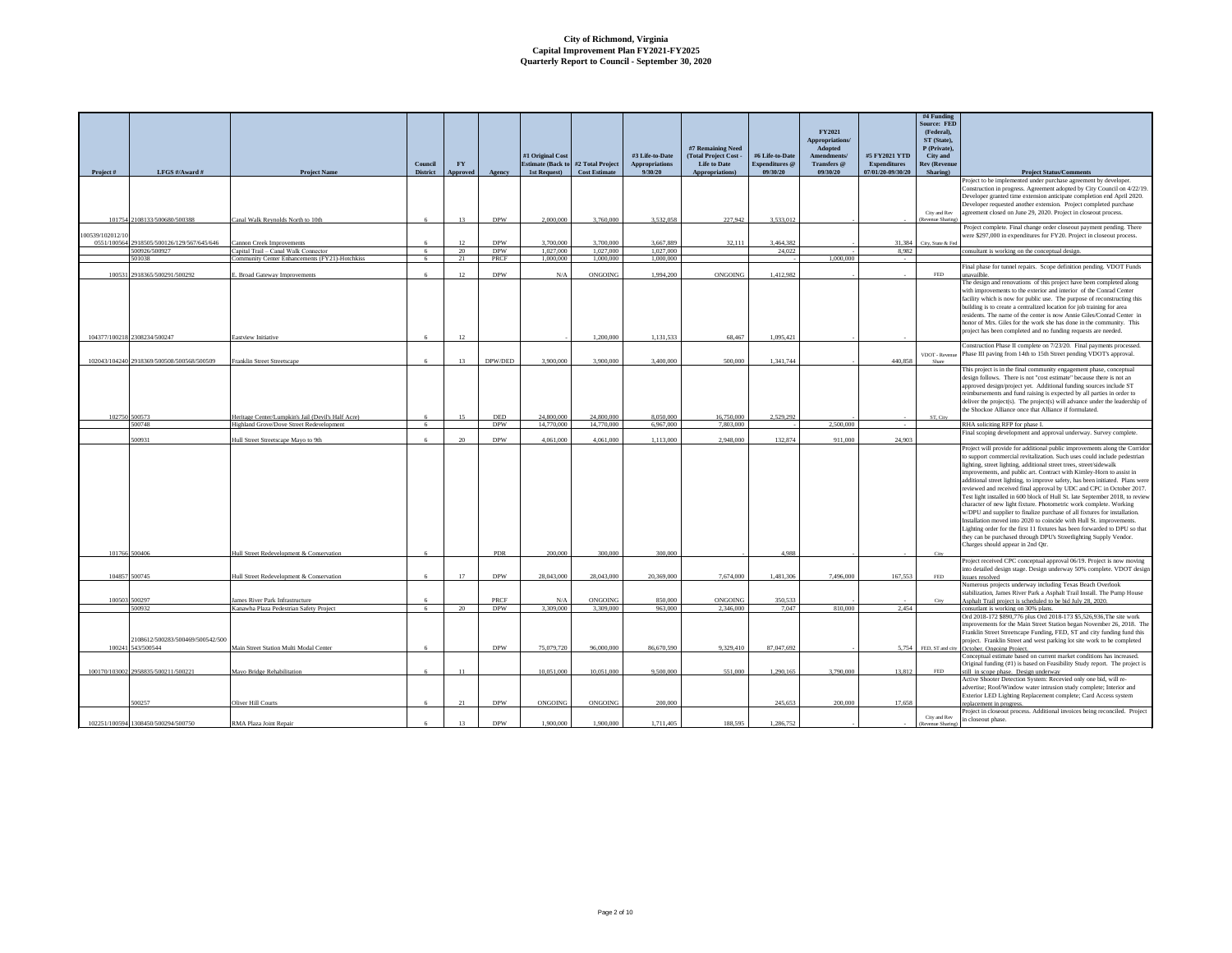|                | LFGS #/Award #                      |                                                    | Council<br><b>District</b> | ${\bf F}{\bf Y}$ |                          | #1 Original Cost<br><b>Estimate (Back to #2 Total Project)</b><br>1st Request) | <b>Cost Estimate</b>     | #3 Life-to-Date<br>Appropriations<br>9/30/20 | #7 Remaining Need<br>(Total Project Cost -<br><b>Life to Date</b> | #6 Life-to-Date<br>Expenditures @<br>09/30/20 | FY2021<br><b>Appropriations</b><br>Adopted<br>Amendments/<br>Transfers @<br>09/30/20 | #5 FY2021 YTD<br><b>Expenditures</b><br>07/01/20-09/30/20 | #4 Funding<br>Source: FED<br>(Federal),<br>ST (State),<br>P (Private),<br>City and<br>Rev (Revenue<br>Sharing) |                                                                                                                                                       |
|----------------|-------------------------------------|----------------------------------------------------|----------------------------|------------------|--------------------------|--------------------------------------------------------------------------------|--------------------------|----------------------------------------------|-------------------------------------------------------------------|-----------------------------------------------|--------------------------------------------------------------------------------------|-----------------------------------------------------------|----------------------------------------------------------------------------------------------------------------|-------------------------------------------------------------------------------------------------------------------------------------------------------|
| Project#       |                                     | <b>Project Name</b>                                |                            | <b>Approved</b>  | Agency                   |                                                                                |                          |                                              | Appropriations)                                                   |                                               |                                                                                      |                                                           |                                                                                                                | <b>Project Status/Comments</b><br>Project to be implemented under purchase agreement by developer.                                                    |
|                |                                     |                                                    |                            |                  |                          |                                                                                |                          |                                              |                                                                   |                                               |                                                                                      |                                                           |                                                                                                                | Construction in progress. Agreement adopted by City Council on 4/22/19                                                                                |
|                |                                     |                                                    |                            |                  |                          |                                                                                |                          |                                              |                                                                   |                                               |                                                                                      |                                                           |                                                                                                                | Developer granted time extension anticipate completion end April 2020.                                                                                |
|                |                                     |                                                    |                            |                  |                          |                                                                                |                          |                                              |                                                                   |                                               |                                                                                      |                                                           | City and Rev                                                                                                   | Developer requested another extension. Project completed purchase<br>agreement closed on June 29, 2020. Project in closeout process.                  |
| 101754         | 2108133/500680/500388               | Canal Walk Reynolds North to 10th                  | 6                          | 13               | <b>DPW</b>               | 2.000,000                                                                      | 3,760,000                | 3.532.058                                    | 227.942                                                           | 3.533.012                                     |                                                                                      |                                                           | Revenue Sharin                                                                                                 |                                                                                                                                                       |
| 00539/102012/1 |                                     |                                                    |                            |                  |                          |                                                                                |                          |                                              |                                                                   |                                               |                                                                                      |                                                           |                                                                                                                | Project complete. Final change order closeout payment pending. There                                                                                  |
| 0551/100564    | 2918505/500126/129/567/645/646      | Cannon Creek Improvements                          |                            | 12               | <b>DPW</b>               | 3,700,000                                                                      | 3,700,000                | 3,667,889                                    | 32.111                                                            | 3.464.382                                     |                                                                                      | 31,384                                                    | City, State & Fee                                                                                              | were \$297,000 in expenditures for FY20. Project in closeout process.                                                                                 |
|                | 500926/500927                       | Capital Trail - Canal Walk Connector               | - 6                        | 20               | <b>DPW</b>               | 1,027,000                                                                      | 1,027,000                | 1.027.000                                    |                                                                   | 24,022                                        |                                                                                      | 8.982                                                     |                                                                                                                | onsultant is working on the conceptual design.                                                                                                        |
|                | 501038                              | Community Center Enhancements (FY21)-Hotchkiss     | 6                          | 21               | PRCF                     | 1,000,000                                                                      | 1.000,000                | 1,000,000                                    |                                                                   |                                               | 1,000,000                                                                            |                                                           |                                                                                                                |                                                                                                                                                       |
| 100531         | 2918365/500291/500292               | . Broad Gateway Improvements                       | 6                          | 12               | <b>DPW</b>               | N/A                                                                            | <b>ONGOING</b>           | 1.994.200                                    | ONGOING                                                           | 1.412.982                                     |                                                                                      |                                                           | $\ensuremath{\mathsf{FED}}$                                                                                    | Final phase for tunnel repairs. Scope definition pending. VDOT Funds<br>unavailble.                                                                   |
|                |                                     |                                                    |                            |                  |                          |                                                                                |                          |                                              |                                                                   |                                               |                                                                                      |                                                           |                                                                                                                | The design and renovations of this project have been completed along                                                                                  |
|                |                                     |                                                    |                            |                  |                          |                                                                                |                          |                                              |                                                                   |                                               |                                                                                      |                                                           |                                                                                                                | with improvements to the exterior and interior of the Conrad Center                                                                                   |
|                |                                     |                                                    |                            |                  |                          |                                                                                |                          |                                              |                                                                   |                                               |                                                                                      |                                                           |                                                                                                                | facility which is now for public use. The purpose of reconstructing this                                                                              |
|                |                                     |                                                    |                            |                  |                          |                                                                                |                          |                                              |                                                                   |                                               |                                                                                      |                                                           |                                                                                                                | building is to create a centralized location for job training for area<br>residents. The name of the center is now Annie Giles/Conrad Center in       |
|                |                                     |                                                    |                            |                  |                          |                                                                                |                          |                                              |                                                                   |                                               |                                                                                      |                                                           |                                                                                                                | honor of Mrs. Giles for the work she has done in the community. This                                                                                  |
|                |                                     |                                                    |                            |                  |                          |                                                                                |                          |                                              |                                                                   |                                               |                                                                                      |                                                           |                                                                                                                | project has been completed and no funding requests are needed.                                                                                        |
| 104377/100218  | 2308234/500247                      | Eastview Initiative                                | 6                          | 12               |                          |                                                                                | 1.200,000                | 1.131.533                                    | 68,467                                                            | 1.095.421                                     |                                                                                      |                                                           |                                                                                                                |                                                                                                                                                       |
|                |                                     |                                                    |                            |                  |                          |                                                                                |                          |                                              |                                                                   |                                               |                                                                                      |                                                           | VDOT - Revenue                                                                                                 | Construction Phase II complete on 7/23/20. Final payments processed.<br>Phase III paving from 14th to 15th Street pending VDOT's approval.            |
| 102043/104240  | 2918369/500508/500568/500509        | Franklin Street Streetscape                        | 6                          | 13               | DPW/DED                  | 3,900,000                                                                      | 3,900,000                | 3,400,000                                    | 500,000                                                           | 1.341.744                                     |                                                                                      | 440,858                                                   |                                                                                                                |                                                                                                                                                       |
|                |                                     |                                                    |                            |                  |                          |                                                                                |                          |                                              |                                                                   |                                               |                                                                                      |                                                           |                                                                                                                | This project is in the final community engagement phase, conceptual                                                                                   |
|                |                                     |                                                    |                            |                  |                          |                                                                                |                          |                                              |                                                                   |                                               |                                                                                      |                                                           |                                                                                                                | design follows. There is not "cost estimate" because there is not an                                                                                  |
|                |                                     |                                                    |                            |                  |                          |                                                                                |                          |                                              |                                                                   |                                               |                                                                                      |                                                           |                                                                                                                | approved design/project yet. Additional funding sources include ST<br>reimbursements and fund raising is expected by all parties in order to          |
|                |                                     |                                                    |                            |                  |                          |                                                                                |                          |                                              |                                                                   |                                               |                                                                                      |                                                           |                                                                                                                | deliver the project(s). The project(s) will advance under the leadership of                                                                           |
|                |                                     |                                                    |                            |                  |                          |                                                                                |                          |                                              |                                                                   |                                               |                                                                                      |                                                           |                                                                                                                | the Shockoe Alliance once that Alliance if formulated.                                                                                                |
| 102750         | 500573<br>500748                    | Heritage Center/Lumpkin's Jail (Devil's Half Acre) | 6<br>6                     | 15               | <b>DED</b><br><b>DPW</b> | 24.800,000<br>14,770,000                                                       | 24,800,000<br>14,770,000 | 8.050,000<br>6.967,000                       | 16,750,000<br>7,803,000                                           | 2.529.292                                     | 2.500,000                                                                            |                                                           | ST. City                                                                                                       | RHA soliciting RFP for phase I.                                                                                                                       |
|                |                                     | Highland Grove/Dove Street Redevelopment           |                            |                  |                          |                                                                                |                          |                                              |                                                                   |                                               |                                                                                      |                                                           |                                                                                                                |                                                                                                                                                       |
|                |                                     |                                                    |                            |                  |                          |                                                                                |                          |                                              |                                                                   |                                               |                                                                                      |                                                           |                                                                                                                |                                                                                                                                                       |
|                | 500931                              | Hull Street Streetscape Mayo to 9th                |                            | $20^{\circ}$     | <b>DPW</b>               | 4.061.000                                                                      | 4.061.000                | 1.113.000                                    | 2.948,000                                                         | 132.874                                       | 911,000                                                                              | 24,903                                                    |                                                                                                                | Final scoping development and approval underway. Survey complete.                                                                                     |
|                |                                     |                                                    |                            |                  |                          |                                                                                |                          |                                              |                                                                   |                                               |                                                                                      |                                                           |                                                                                                                | Project will provide for additional public improvements along the Corridor                                                                            |
|                |                                     |                                                    |                            |                  |                          |                                                                                |                          |                                              |                                                                   |                                               |                                                                                      |                                                           |                                                                                                                | to support commercial revitalization. Such uses could include pedestrian                                                                              |
|                |                                     |                                                    |                            |                  |                          |                                                                                |                          |                                              |                                                                   |                                               |                                                                                      |                                                           |                                                                                                                | lighting, street lighting, additional street trees, street/sidewalk                                                                                   |
|                |                                     |                                                    |                            |                  |                          |                                                                                |                          |                                              |                                                                   |                                               |                                                                                      |                                                           |                                                                                                                | improvements, and public art. Contract with Kimley-Horn to assist in<br>additional street lighting, to improve safety, has been initiated. Plans were |
|                |                                     |                                                    |                            |                  |                          |                                                                                |                          |                                              |                                                                   |                                               |                                                                                      |                                                           |                                                                                                                | reviewed and received final approval by UDC and CPC in October 2017.                                                                                  |
|                |                                     |                                                    |                            |                  |                          |                                                                                |                          |                                              |                                                                   |                                               |                                                                                      |                                                           |                                                                                                                | Test light installed in 600 block of Hull St. late September 2018, to review                                                                          |
|                |                                     |                                                    |                            |                  |                          |                                                                                |                          |                                              |                                                                   |                                               |                                                                                      |                                                           |                                                                                                                | character of new light fixture. Photometric work complete. Working                                                                                    |
|                |                                     |                                                    |                            |                  |                          |                                                                                |                          |                                              |                                                                   |                                               |                                                                                      |                                                           |                                                                                                                | w/DPU and supplier to finalize purchase of all fixtures for installation.<br>Installation moved into 2020 to coincide with Hull St. improvements.     |
|                |                                     |                                                    |                            |                  |                          |                                                                                |                          |                                              |                                                                   |                                               |                                                                                      |                                                           |                                                                                                                | Lighting order for the first 11 fixtures has been forwarded to DPU so that                                                                            |
|                |                                     |                                                    |                            |                  |                          |                                                                                |                          |                                              |                                                                   |                                               |                                                                                      |                                                           |                                                                                                                | they can be purchased through DPU's Streetlighting Supply Vendor.                                                                                     |
|                |                                     |                                                    |                            |                  |                          |                                                                                |                          |                                              |                                                                   |                                               |                                                                                      |                                                           |                                                                                                                | Charges should appear in 2nd Qtr.                                                                                                                     |
| 101766         | 500406                              | Hull Street Redevelopment & Conservation           |                            |                  | PDR                      | 200,000                                                                        | 300,000                  | 300 000                                      |                                                                   | 4,988                                         |                                                                                      |                                                           |                                                                                                                | Project received CPC conceptual approval 06/19. Project is now moving                                                                                 |
|                |                                     |                                                    |                            |                  |                          |                                                                                |                          |                                              |                                                                   |                                               |                                                                                      |                                                           |                                                                                                                | into detailed design stage. Design underway 50% complete. VDOT design                                                                                 |
| 104857         | 500745                              | Hull Street Redevelopment & Conservation           |                            |                  | <b>DPW</b>               | 28,043,000                                                                     | 28,043,000               | 20.369,000                                   | 7.674.000                                                         | 1.481.306                                     | 7,496,000                                                                            | 167.553                                                   | FED.                                                                                                           | issues resolved                                                                                                                                       |
|                |                                     |                                                    |                            |                  |                          |                                                                                |                          |                                              |                                                                   |                                               |                                                                                      |                                                           |                                                                                                                | Numerous projects underway including Texas Beach Overlook                                                                                             |
| 100503         | 500297                              | James River Park Infrastructure                    |                            |                  | PRCF                     | N/A                                                                            | ONGOING                  | 850,000                                      | ONGOING                                                           | 350,533                                       |                                                                                      |                                                           |                                                                                                                | stabilization, James River Park a Asphalt Trail Install. The Pump House<br>Asphalt Trail project is scheduled to be bid July 28, 2020                 |
|                | 500932                              | Kanawha Plaza Pedestrian Safety Project            | -6                         | 20               | <b>DPW</b>               | 3,309,000                                                                      | 3,309,000                | 963,000                                      | 2,346,000                                                         | 7,047                                         | 810,000                                                                              | 2,454                                                     |                                                                                                                | consutlant is working on 30% plans.                                                                                                                   |
|                |                                     |                                                    |                            |                  |                          |                                                                                |                          |                                              |                                                                   |                                               |                                                                                      |                                                           |                                                                                                                | Ord 2018-172 \$890,776 plus Ord 2018-173 \$5,526,936,The site work                                                                                    |
|                |                                     |                                                    |                            |                  |                          |                                                                                |                          |                                              |                                                                   |                                               |                                                                                      |                                                           |                                                                                                                | improvements for the Main Street Station began November 26, 2018. The                                                                                 |
|                | 2108612/500283/500469/500542/500    |                                                    |                            |                  |                          |                                                                                |                          |                                              |                                                                   |                                               |                                                                                      |                                                           |                                                                                                                | Franklin Street Streetscape Funding, FED, ST and city funding fund this<br>project. Franklin Street and west parking lot site work to be completed    |
| 100241         | 543/500544                          | Main Street Station Multi Modal Center             |                            |                  | <b>DPW</b>               | 75,079,720                                                                     | 96,000,000               | 86,670,590                                   | 9,329,410                                                         | 87,047,692                                    |                                                                                      | 5,754                                                     |                                                                                                                | FED, ST and city October. Ongoing Project.                                                                                                            |
|                |                                     |                                                    |                            |                  |                          |                                                                                |                          |                                              |                                                                   |                                               |                                                                                      |                                                           |                                                                                                                | Conceptual estimate based on current market conditions has increased.                                                                                 |
| 100170/103002  | 2958835/500211/500221               | Mayo Bridge Rehabilitation                         |                            | 11               |                          | 10,051,000                                                                     | 10,051,000               | 9,500,000                                    | 551,000                                                           | 1,290,165                                     | 3,790,000                                                                            | 13,812                                                    | FED.                                                                                                           | Original funding (#1) is based on Feasibility Study report. The project is                                                                            |
|                |                                     |                                                    |                            |                  |                          |                                                                                |                          |                                              |                                                                   |                                               |                                                                                      |                                                           |                                                                                                                | still in scope phase. Design underway<br>Active Shooter Detection System: Recevied only one bid, will re-                                             |
|                |                                     |                                                    |                            |                  |                          |                                                                                |                          |                                              |                                                                   |                                               |                                                                                      |                                                           |                                                                                                                | advertise; Roof/Window water intrusion study complete; Interior and                                                                                   |
|                |                                     |                                                    |                            |                  |                          |                                                                                |                          |                                              |                                                                   |                                               |                                                                                      |                                                           |                                                                                                                | Exterior LED Lighting Replacement complete; Card Access system                                                                                        |
|                | 500257                              | Oliver Hill Courts                                 |                            | 21               | <b>DPW</b>               | ONGOING                                                                        | ONGOING                  | 200,000                                      |                                                                   | 245,653                                       | 200,000                                                                              | 17,658                                                    |                                                                                                                | eplacement in progress.<br>Project in closeout process. Additional invoices being reconciled. Project                                                 |
|                | 102251/100594 1308450/500294/500750 | RMA Plaza Joint Repa                               |                            |                  | <b>DPW</b>               | 1,900,000                                                                      | 1,900,000                | 1.711.405                                    | 188,595                                                           | 1.286.752                                     |                                                                                      |                                                           | City and Rev                                                                                                   | in closeout phase.                                                                                                                                    |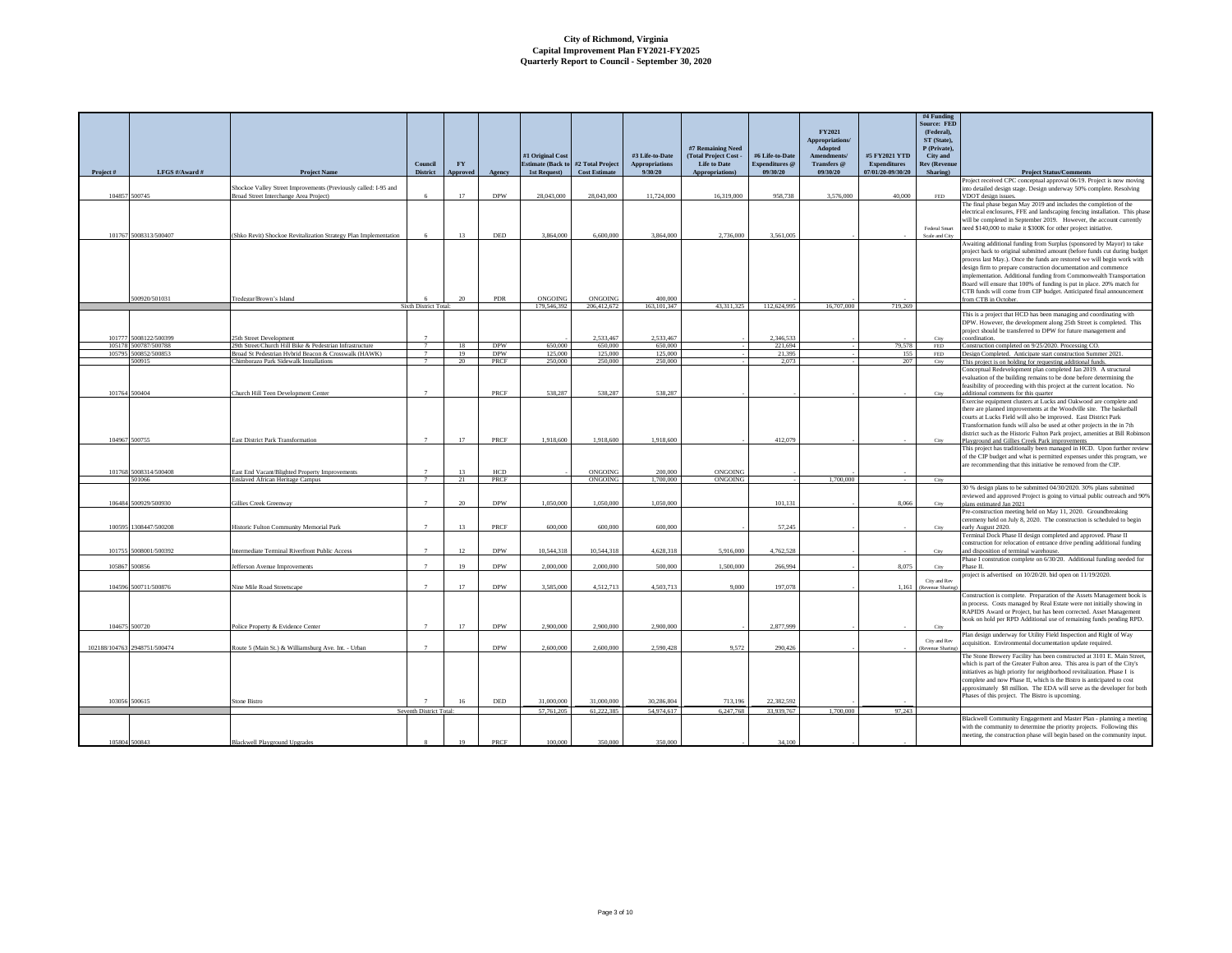| Project# | LFGS #/Award #                 | <b>Project Name</b>                                                                                       | Council<br><b>District</b> | <b>FY</b><br>Approved | Agency             | #1 Original Cost<br>1st Request) | Estimate (Back to #2 Total Project<br>Cost Estimate | #3 Life-to-Date<br><b>Appropriations</b><br>9/30/20 | #7 Remaining Need<br>(Total Project Cost<br><b>Life to Date</b><br>Appropriations) | #6 Life-to-Date<br><b>Expenditures</b> @<br>09/30/20 | <b>FY2021</b><br><b>Appropriations</b><br>Adopted<br>Amendments/<br>Transfers @<br>09/30/20 | #5 FY2021 YTD<br><b>Expenditures</b><br>07/01/20-09/30/20 | #4 Funding<br>Source: FED<br>(Federal),<br>ST (State),<br>P (Private),<br>City and<br><b>Rev (Revenue</b><br>Sharing) | <b>Project Status/Comments</b>                                                                                                                                                                                                                                                                                                                                                                                                                                                                                                              |
|----------|--------------------------------|-----------------------------------------------------------------------------------------------------------|----------------------------|-----------------------|--------------------|----------------------------------|-----------------------------------------------------|-----------------------------------------------------|------------------------------------------------------------------------------------|------------------------------------------------------|---------------------------------------------------------------------------------------------|-----------------------------------------------------------|-----------------------------------------------------------------------------------------------------------------------|---------------------------------------------------------------------------------------------------------------------------------------------------------------------------------------------------------------------------------------------------------------------------------------------------------------------------------------------------------------------------------------------------------------------------------------------------------------------------------------------------------------------------------------------|
|          |                                |                                                                                                           |                            |                       |                    |                                  |                                                     |                                                     |                                                                                    |                                                      |                                                                                             |                                                           |                                                                                                                       | Project received CPC conceptual approval 06/19. Project is now moving                                                                                                                                                                                                                                                                                                                                                                                                                                                                       |
|          | 104857 500745                  | Shockoe Valley Street Improvements (Previously called: I-95 and<br>Broad Street Interchange Area Project) |                            | 17                    | <b>DPW</b>         | 28,043,000                       | 28.043.000                                          | 11,724,000                                          | 16,319,000                                                                         | 958,738                                              | 3,576,000                                                                                   | 40,000                                                    | FED                                                                                                                   | into detailed design stage. Design underway 50% complete. Resolving<br>VDOT design issues.                                                                                                                                                                                                                                                                                                                                                                                                                                                  |
|          | 101767 5008313/500407          | Shko Revit) Shockoe Revitalization Strategy Plan Implementation                                           | -6                         | 13                    | <b>DED</b>         | 3,864,000                        | 6,600,000                                           | 3.864.000                                           | 2.736,000                                                                          | 3.561.005                                            |                                                                                             |                                                           | Federal Smart<br>Scale and City                                                                                       | The final phase began May 2019 and includes the completion of the<br>electrical enclosures, FFE and landscaping fencing installation. This phas<br>will be completed in September 2019. However, the account currently<br>need \$140,000 to make it \$300K for other project initiative.                                                                                                                                                                                                                                                    |
|          | 500920/501031                  | Tredegar/Brown's Island                                                                                   |                            | 20                    | PDR                | ONGOING                          | ONGOING                                             | 400,000                                             |                                                                                    |                                                      |                                                                                             |                                                           |                                                                                                                       | Awaiting additional funding from Surplus (sponsored by Mayor) to take<br>project back to original submitted amount (before funds cut during budge<br>process last May.). Once the funds are restored we will begin work with<br>design firm to prepare construction documentation and commence<br>implementation. Additional funding from Commonwealth Transportation<br>Board will ensure that 100% of funding is put in place. 20% match for<br>CTB funds will come from CIP budget. Anticipated final announcement<br>rom CTB in October |
|          |                                |                                                                                                           | Sixth District Total:      |                       |                    | 179,546,392                      | 206,412,672                                         | 163, 101, 347                                       | 43.311.325                                                                         | 112,624,995                                          | 16,707,000                                                                                  | 719,269                                                   |                                                                                                                       |                                                                                                                                                                                                                                                                                                                                                                                                                                                                                                                                             |
|          | 101777 5008122/500399          | 25th Street Development                                                                                   |                            |                       |                    |                                  | 2.533.467                                           | 2.533.467                                           |                                                                                    | 2,346,533                                            |                                                                                             |                                                           | City                                                                                                                  | This is a project that HCD has been managing and coordinating with<br>DPW. However, the development along 25th Street is completed. This<br>project should be transferred to DPW for future management and<br>coordination.                                                                                                                                                                                                                                                                                                                 |
|          | 105178 500787/500788           | 29th Street/Church Hill Bike & Pedestrian Infrastructure                                                  | $\tau$                     | 18                    | <b>DPW</b>         | 650,000                          | 650,000                                             | 650,000                                             |                                                                                    | 221,694                                              |                                                                                             | 79.578                                                    | $\ensuremath{\mathsf{FED}}$                                                                                           | Construction completed on 9/25/2020. Processing CO.                                                                                                                                                                                                                                                                                                                                                                                                                                                                                         |
|          | 105795 500852/500853<br>500915 | Broad St Pedestrian Hybrid Beacon & Crosswalk (HAWK)<br>Chimborazo Park Sidewalk Installations            | $\overline{7}$             | 19<br>$20 -$          | <b>DPW</b><br>PRCF | 125,000<br>250,000               | 125,000<br>250,000                                  | 125,000<br>250,000                                  |                                                                                    | 21,395<br>2.073                                      |                                                                                             | 155<br>207                                                | $\ensuremath{\mathsf{FED}}$<br>City                                                                                   | Design Completed. Anticipate start construction Summer 2021.<br>This project is on holding for requesting additional funds.                                                                                                                                                                                                                                                                                                                                                                                                                 |
|          | 101764 500404                  | Church Hill Teen Development Center                                                                       |                            |                       | PRCF               | 538,287                          | 538.287                                             | 538,287                                             |                                                                                    |                                                      |                                                                                             |                                                           | City                                                                                                                  | Conceptual Redevelopment plan completed Jan 2019. A structural<br>evaluation of the building remains to be done before determining the<br>feasibility of proceeding with this project at the current location. No<br>dditional comments for this quarter<br>Exercise equipment clusters at Lucks and Oakwood are complete and                                                                                                                                                                                                               |
|          | 104967 500755                  | East District Park Transformation                                                                         |                            | 17                    | PRCF               | 1,918,600                        | 1,918,600                                           | 1,918,600                                           |                                                                                    | 412,079                                              |                                                                                             |                                                           |                                                                                                                       | there are planned improvements at the Woodville site. The basketball<br>courts at Lucks Field will also be improved. East District Park<br>Transformation funds will also be used at other projects in the in 7th<br>district such as the Historic Fulton Park project, amenities at Bill Robinson<br>Playground and Gillies Creek Park improvement                                                                                                                                                                                         |
|          | 101768 5008314/500408          | East End Vacant/Blighted Property Improvements                                                            |                            | 13                    | <b>HCD</b>         |                                  | ONGOING                                             | 200,000                                             | ONGOING                                                                            |                                                      |                                                                                             |                                                           |                                                                                                                       | This project has traditionally been managed in HCD. Upon further review<br>of the CIP budget and what is permitted expenses under this program, we<br>are recommending that this initiative be removed from the CIP.                                                                                                                                                                                                                                                                                                                        |
|          | 501066                         | Enslaved African Heritage Campus                                                                          | $\overline{7}$             | 21                    | PRCF               |                                  | ONGOING                                             | 1,700,000                                           | ONGOING                                                                            |                                                      | 1,700,000                                                                                   |                                                           | City                                                                                                                  |                                                                                                                                                                                                                                                                                                                                                                                                                                                                                                                                             |
|          | 106484 500929/500930           | Gillies Creek Greenway                                                                                    |                            | 20                    | <b>DPW</b>         | 1.050,000                        | 1.050,000                                           | 1.050,000                                           |                                                                                    | 101.131                                              |                                                                                             | 8.066                                                     | City                                                                                                                  | 30 % design plans to be submitted 04/30/2020. 30% plans submitted<br>reviewed and approved Project is going to virtual public outreach and 90%<br>lans estimated Jan 2021                                                                                                                                                                                                                                                                                                                                                                   |
|          | 100595 1308447/500208          | Historic Fulton Community Memorial Park                                                                   |                            | 13                    | PRCF               | 600,000                          | 600,000                                             | 600,000                                             |                                                                                    | 57.245                                               |                                                                                             |                                                           | City                                                                                                                  | Pre-construction meeting held on May 11, 2020. Groundbreaking<br>reremeny held on July 8, 2020. The construction is scheduled to begin                                                                                                                                                                                                                                                                                                                                                                                                      |
|          |                                |                                                                                                           |                            |                       |                    |                                  |                                                     |                                                     |                                                                                    |                                                      |                                                                                             |                                                           |                                                                                                                       | arly August 2020.<br>Terminal Dock Phase II design completed and approved. Phase II<br>construction for relocation of entrance drive pending additional funding                                                                                                                                                                                                                                                                                                                                                                             |
|          | 101755 5008001/500392          | Intermediate Terminal Riverfront Public Access                                                            |                            | 12                    | <b>DPW</b>         | 10.544.318                       | 10.544.318                                          | 4.628.318                                           | 5.916.000                                                                          | 4.762.528                                            |                                                                                             |                                                           | City                                                                                                                  | and disposition of terminal warehouse.<br>Phase I constrution complete on 6/30/20. Additional funding needed for                                                                                                                                                                                                                                                                                                                                                                                                                            |
|          | 105867 500856                  | efferson Avenue Improvements                                                                              |                            | 19                    | <b>DPW</b>         | 2,000,000                        | 2,000,000                                           | 500,000                                             | 1,500,000                                                                          | 266,994                                              |                                                                                             | 8.075                                                     | City                                                                                                                  | Phase II.                                                                                                                                                                                                                                                                                                                                                                                                                                                                                                                                   |
|          | 104596 500711/500876           | Nine Mile Road Streetscape                                                                                | $\overline{z}$             | 17                    | <b>DPW</b>         | 3,585,000                        | 4,512,713                                           | 4,503,713                                           | 9,000                                                                              | 197,078                                              |                                                                                             | 1,161                                                     | City and Rev<br>(Revenue Sharing                                                                                      | project is advertised on 10/20/20. bid open on 11/19/2020.<br>Construction is complete. Preparation of the Assets Management book is                                                                                                                                                                                                                                                                                                                                                                                                        |
|          | 104675 500720                  | Police Property & Evidence Center                                                                         |                            | 17                    | <b>DPW</b>         | 2,900,000                        | 2,900,000                                           | 2,900,000                                           |                                                                                    | 2,877,999                                            |                                                                                             |                                                           | City                                                                                                                  | in process. Costs managed by Real Estate were not initially showing in<br>RAPIDS Award or Project, but has been corrected. Asset Management<br>book on hold per RPD Additional use of remaining funds pending RPD                                                                                                                                                                                                                                                                                                                           |
|          |                                |                                                                                                           |                            |                       |                    |                                  |                                                     |                                                     |                                                                                    |                                                      |                                                                                             |                                                           |                                                                                                                       | Plan design underway for Utility Field Inspection and Right of Way                                                                                                                                                                                                                                                                                                                                                                                                                                                                          |
|          | 102188/104763 2948751/500474   | Route 5 (Main St.) & Williamsburg Ave. Int. - Urban                                                       | $\overline{7}$             |                       | <b>DPW</b>         | 2,600,000                        | 2,600,000                                           | 2,590,428                                           | 9,572                                                                              | 290,426                                              |                                                                                             |                                                           | City and Rev                                                                                                          | cquisition. Environmental documentation update required.<br>The Stone Brewery Facility has been constructed at 3101 E. Main Street,                                                                                                                                                                                                                                                                                                                                                                                                         |
|          |                                |                                                                                                           |                            |                       |                    |                                  |                                                     |                                                     |                                                                                    |                                                      |                                                                                             |                                                           |                                                                                                                       | which is part of the Greater Fulton area. This area is part of the City's<br>initiatives as high priority for neighborhood revitalization. Phase I is<br>complete and now Phase II, which is the Bistro is anticipated to cost<br>approximately \$8 million. The EDA will serve as the developer for both<br>Phases of this project. The Bistro is upcoming.                                                                                                                                                                                |
|          | 103056 500615                  | Stone Bistro                                                                                              | Seventh District Total:    | 16                    | <b>DED</b>         | 31,000,000<br>57,761,205         | 31,000,000<br>61.222.385                            | 30,286,804<br>54,974,617                            | 713 196<br>6.247.768                                                               | 22,382,592<br>33,939,767                             | 1,700,000                                                                                   | 97.243                                                    |                                                                                                                       |                                                                                                                                                                                                                                                                                                                                                                                                                                                                                                                                             |
|          |                                |                                                                                                           |                            |                       |                    |                                  |                                                     |                                                     |                                                                                    |                                                      |                                                                                             |                                                           |                                                                                                                       | Blackwell Community Engagement and Master Plan - planning a meeting<br>with the community to determine the priority projects. Following this<br>meeting, the construction phase will begin based on the community input.                                                                                                                                                                                                                                                                                                                    |
|          | 105804 500843                  | <b>Blackwell Playground Upgrades</b>                                                                      |                            |                       | PRCF               | 100 000                          | 350.000                                             | 350,000                                             |                                                                                    | 34 100                                               |                                                                                             |                                                           |                                                                                                                       |                                                                                                                                                                                                                                                                                                                                                                                                                                                                                                                                             |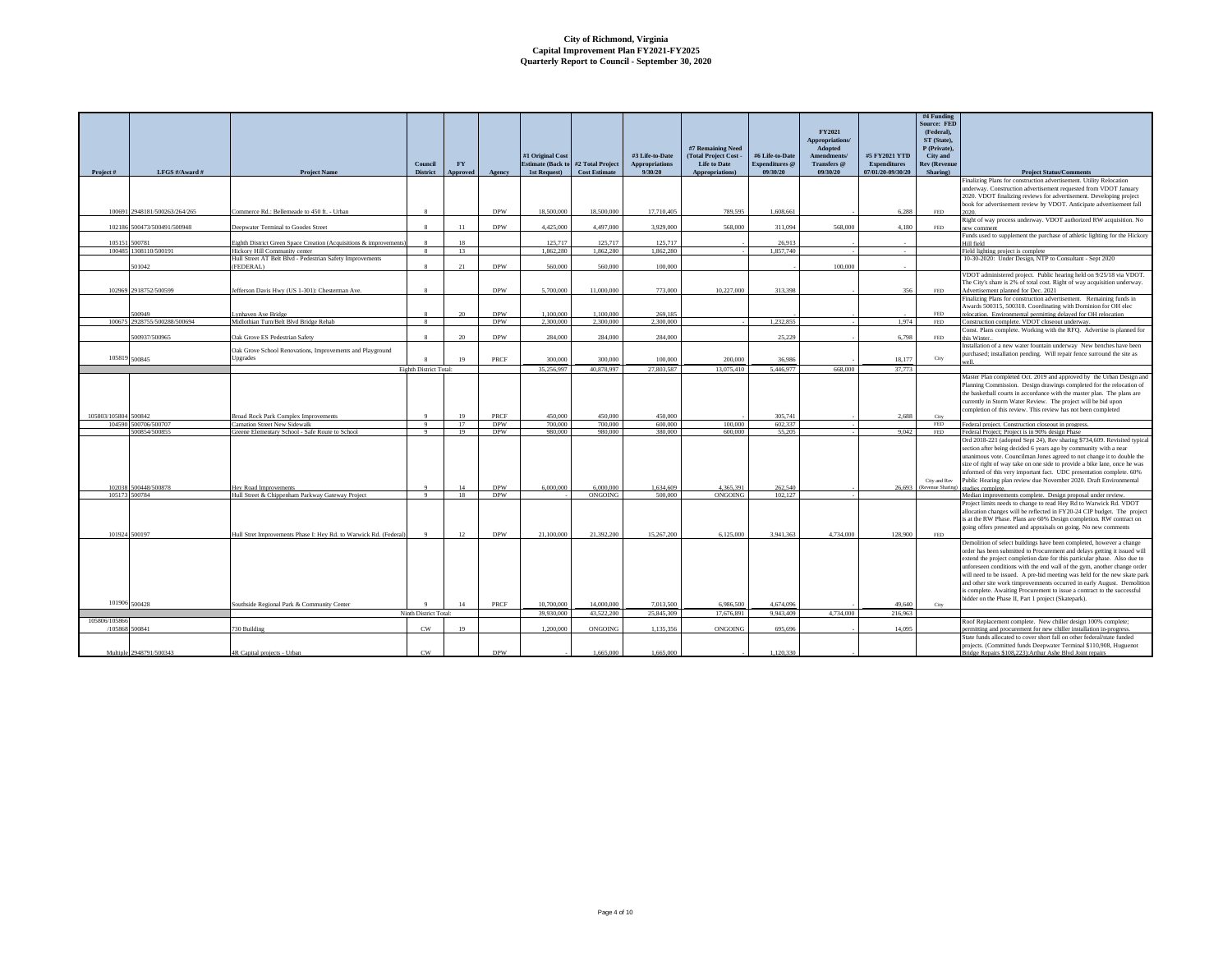|                      |                               |                                                                                            | Council                | <b>FY</b> |                           | #1 Original Cost   | <b>Estimate (Back to #2 Total Project)</b> | #3 Life-to-Date<br><b>Appropriations</b> | #7 Remaining Need<br>(Total Project Cost -<br><b>Life to Date</b> | #6 Life-to-Date<br><b>Expenditures</b> @ | FY2021<br>Appropriations/<br>Adopted<br>Amendments/<br>Transfers @ | #5 FY2021 YTD<br><b>Expenditures</b> | #4 Funding<br><b>Source: FED</b><br>(Federal).<br>ST (State),<br>P (Private).<br><b>City</b> and<br><b>Rev (Revenue</b> |                                                                                                                                                     |
|----------------------|-------------------------------|--------------------------------------------------------------------------------------------|------------------------|-----------|---------------------------|--------------------|--------------------------------------------|------------------------------------------|-------------------------------------------------------------------|------------------------------------------|--------------------------------------------------------------------|--------------------------------------|-------------------------------------------------------------------------------------------------------------------------|-----------------------------------------------------------------------------------------------------------------------------------------------------|
| Project#             | LFGS #/Award #                | <b>Project Name</b>                                                                        | <b>District</b>        | Approved  | Agency                    | 1st Request)       | <b>Cost Estimate</b>                       | 9/30/20                                  | Appropriations)                                                   | 09/30/20                                 | 09/30/20                                                           | 07/01/20-09/30/20                    | Sharing)                                                                                                                | <b>Project Status/Comments</b><br>Finalizing Plans for construction advertisement. Utility Relocation                                               |
|                      |                               |                                                                                            |                        |           |                           |                    |                                            |                                          |                                                                   |                                          |                                                                    |                                      |                                                                                                                         | underway. Construction advertisement requested from VDOT January                                                                                    |
|                      |                               |                                                                                            |                        |           |                           |                    |                                            |                                          |                                                                   |                                          |                                                                    |                                      |                                                                                                                         | 2020. VDOT finalizing reviews for advertisement. Developing project                                                                                 |
|                      |                               |                                                                                            |                        |           |                           |                    |                                            |                                          |                                                                   |                                          |                                                                    |                                      |                                                                                                                         | book for advertisement review by VDOT. Anticipate advertisement fall                                                                                |
|                      | 100691 2948181/500263/264/265 | Commerce Rd.: Bellemeade to 450 ft. - Urban                                                | $\mathbf{R}$           |           | <b>DPW</b>                | 18,500,000         | 18,500,000                                 | 17,710,405                               | 789.595                                                           | 1.608.661                                |                                                                    | 6.288                                | FED                                                                                                                     | 2020                                                                                                                                                |
|                      | 102186 500473/500491/500948   | Deepwater Terminal to Goodes Street                                                        | $\mathbf{\hat{x}}$     | 11        | <b>DPW</b>                | 4,425,000          | 4,497,000                                  | 3.929.000                                | 568,000                                                           | 311.094                                  | 568,000                                                            | 4,180                                | FED                                                                                                                     | Right of way process underway. VDOT authorized RW acquisition. No<br>new comment                                                                    |
|                      |                               |                                                                                            |                        |           |                           |                    |                                            |                                          |                                                                   |                                          |                                                                    |                                      |                                                                                                                         | Funds used to supplement the purchase of athletic lighting for the Hickory                                                                          |
|                      | 105151 500781                 | Eighth District Green Space Creation (Acquisitions & improvement                           |                        |           |                           | 125,717            | 125.717                                    | 125,717                                  |                                                                   | 26,913                                   |                                                                    |                                      |                                                                                                                         | Hill field                                                                                                                                          |
|                      | 100485 1308110/500191         | Hickory Hill Community center<br>Hull Street AT Belt Blvd - Pedestrian Safety Improvements | $\mathbf{8}$           | 13        |                           | 1.862.280          | 1.862.280                                  | 1.862.280                                |                                                                   | 1.857.740                                |                                                                    | $\sim$                               |                                                                                                                         | Field lighting project is complete<br>10-30-2020: Under Design, NTP to Consultant - Sept 2020                                                       |
|                      | 501042                        | (FEDERAL)                                                                                  |                        | 21        | <b>DPW</b>                | 560,000            | 560,000                                    | 100,000                                  |                                                                   |                                          | 100,000                                                            |                                      |                                                                                                                         |                                                                                                                                                     |
|                      |                               |                                                                                            |                        |           |                           |                    |                                            |                                          |                                                                   |                                          |                                                                    |                                      |                                                                                                                         | VDOT administered project. Public hearing held on 9/25/18 via VDOT.                                                                                 |
|                      |                               |                                                                                            |                        |           |                           |                    |                                            |                                          |                                                                   |                                          |                                                                    |                                      |                                                                                                                         | The City's share is 2% of total cost. Right of way acquisition underway.                                                                            |
|                      | 102969 2918752/500599         | Jefferson Davis Hwy (US 1-301): Chesterman Ave.                                            |                        |           | <b>DPW</b>                | 5,700,000          | 11,000,000                                 | 773,000                                  | 10,227,000                                                        | 313,398                                  |                                                                    | 356                                  | FED                                                                                                                     | Advertisement planned for Dec. 2021<br>Finalizing Plans for construction advertisement. Remaining funds in                                          |
|                      |                               |                                                                                            |                        |           |                           |                    |                                            |                                          |                                                                   |                                          |                                                                    |                                      |                                                                                                                         | Awards 500315, 500318. Coordinating with Dominion for OH elec                                                                                       |
|                      | 00949                         | vnhaven Ave Bridge                                                                         |                        | 20        | <b>DPW</b>                | 1.100.000          | 1.100,000                                  | 269,185                                  |                                                                   |                                          |                                                                    |                                      | FED.                                                                                                                    | relocation. Environmental permitting delayed for OH relocation                                                                                      |
|                      | 100675 2928755/500288/500694  | Midlothian Turn/Belt Blvd Bridge Rehab                                                     | 8                      |           | <b>DPW</b>                | 2.300.000          | 2.300,000                                  | 2,300,000                                |                                                                   | 1.232.855                                |                                                                    | 1.974                                | <b>FED</b>                                                                                                              | Construction complete. VDOT closeout underway.                                                                                                      |
|                      | 500937/500965                 | Oak Grove ES Pedestrian Safety                                                             |                        | $20 -$    | <b>DPW</b>                | 284,000            | 284,000                                    | 284,000                                  |                                                                   | 25.229                                   |                                                                    | 6,798                                | $\ensuremath{\mathsf{FED}}$                                                                                             | Const. Plans complete. Working with the RFQ. Advertise is planned for<br>this Winter.                                                               |
|                      |                               |                                                                                            |                        |           |                           |                    |                                            |                                          |                                                                   |                                          |                                                                    |                                      |                                                                                                                         | Installation of a new water fountain underway New benches have been                                                                                 |
|                      |                               | Oak Grove School Renovations, Improvements and Playground                                  |                        |           |                           |                    |                                            |                                          |                                                                   |                                          |                                                                    |                                      |                                                                                                                         | purchased; installation pending. Will repair fence surround the site as                                                                             |
|                      | 105819 500845                 | Upgrades                                                                                   |                        | 19        | <b>PRCF</b>               | 300,000            | 300,000                                    | 100,000                                  | 200,000                                                           | 36,986                                   |                                                                    | 18,177                               | City                                                                                                                    | uzell                                                                                                                                               |
|                      |                               |                                                                                            | Eighth District Total: |           |                           | 35,256,997         | 40.878.997                                 | 27,803,587                               | 13.075.410                                                        | 5.446.977                                | 668,000                                                            | 37,773                               |                                                                                                                         |                                                                                                                                                     |
|                      |                               |                                                                                            |                        |           |                           |                    |                                            |                                          |                                                                   |                                          |                                                                    |                                      |                                                                                                                         | Master Plan completed Oct. 2019 and approved by the Urban Design and<br>Planning Commission. Design drawings completed for the relocation of        |
|                      |                               |                                                                                            |                        |           |                           |                    |                                            |                                          |                                                                   |                                          |                                                                    |                                      |                                                                                                                         | the basketball courts in accordance with the master plan. The plans are                                                                             |
|                      |                               |                                                                                            |                        |           |                           |                    |                                            |                                          |                                                                   |                                          |                                                                    |                                      |                                                                                                                         | currently in Storm Water Review. The project will be bid upon                                                                                       |
|                      |                               |                                                                                            | $\Omega$               |           |                           |                    |                                            |                                          |                                                                   |                                          |                                                                    | 2.688                                | City                                                                                                                    | completion of this review. This review has not been completed                                                                                       |
| 105803/105804 500842 | 104590 500706/500707          | <b>Broad Rock Park Complex Improvements</b><br>Carnation Street New Sidewalk               | Q                      | 17        | <b>PRCF</b><br><b>DPW</b> | 450,000<br>700,000 | 450,000<br>700,000                         | 450,000<br>600,000                       | 100,000                                                           | 305.741<br>602,337                       |                                                                    |                                      | FED                                                                                                                     | Federal project. Construction closeout in progress.                                                                                                 |
|                      | 500854/500855                 | Greene Elementary School - Safe Route to School                                            | 9                      | 19        | <b>DPW</b>                | 980,000            | 980,000                                    | 380,000                                  | 600,000                                                           | 55.205                                   |                                                                    | 9.042                                | <b>FED</b>                                                                                                              | Federal Project; Project is in 90% design Phase                                                                                                     |
|                      |                               |                                                                                            |                        |           |                           |                    |                                            |                                          |                                                                   |                                          |                                                                    |                                      |                                                                                                                         | Ord 2018-221 (adopted Sept 24), Rev sharing \$734,609. Revisited typical                                                                            |
|                      |                               |                                                                                            |                        |           |                           |                    |                                            |                                          |                                                                   |                                          |                                                                    |                                      |                                                                                                                         | section after being decided 6 years ago by community with a near                                                                                    |
|                      |                               |                                                                                            |                        |           |                           |                    |                                            |                                          |                                                                   |                                          |                                                                    |                                      |                                                                                                                         | unanimous vote. Councilman Jones agreed to not change it to double the<br>size of right of way take on one side to provide a bike lane, once he was |
|                      |                               |                                                                                            |                        |           |                           |                    |                                            |                                          |                                                                   |                                          |                                                                    |                                      |                                                                                                                         | informed of this very important fact. UDC presentation complete. 60%                                                                                |
|                      |                               |                                                                                            |                        |           |                           |                    |                                            |                                          |                                                                   |                                          |                                                                    |                                      | City and Rev                                                                                                            | Public Hearing plan review due November 2020. Draft Environmental                                                                                   |
|                      | 102038 500448/500878          | Hey Road Improvements                                                                      | $\alpha$<br>Q          | 14        | <b>DPW</b><br><b>DPW</b>  | 6,000,000          | 6,000,000<br>ONGOING                       | 1,634,609<br>500,000                     | 4.365.391                                                         | 262.540                                  |                                                                    |                                      | 26,693 (Revenue Sharing)                                                                                                | studies complete                                                                                                                                    |
|                      | 105173 500784                 | Hull Street & Chippenham Parkway Gateway Project                                           |                        | 18        |                           |                    |                                            |                                          | <b>ONGOING</b>                                                    | 102.127                                  |                                                                    |                                      |                                                                                                                         | Median improvements complete. Design proposal under review.<br>Project limits needs to change to read Hey Rd to Warwick Rd. VDOT                    |
|                      |                               |                                                                                            |                        |           |                           |                    |                                            |                                          |                                                                   |                                          |                                                                    |                                      |                                                                                                                         | allocation changes will be reflected in FY20-24 CIP budget. The project                                                                             |
|                      |                               |                                                                                            |                        |           |                           |                    |                                            |                                          |                                                                   |                                          |                                                                    |                                      |                                                                                                                         | is at the RW Phase. Plans are 60% Design completion. RW contract on                                                                                 |
|                      |                               |                                                                                            |                        |           |                           |                    |                                            |                                          |                                                                   |                                          |                                                                    |                                      |                                                                                                                         | going offers presented and appraisals on going. No new comments                                                                                     |
|                      | 101924 500197                 | Hull Stret Improvements Phase I: Hey Rd. to Warwick Rd. (Federal)                          | $\overline{9}$         | 12        | <b>DPW</b>                | 21.100.000         | 21.392.200                                 | 15,267,200                               | 6.125.000                                                         | 3.941.363                                | 4.734.000                                                          | 128,900                              | <b>FED</b>                                                                                                              | Demolition of select buildings have been completed, however a change                                                                                |
|                      |                               |                                                                                            |                        |           |                           |                    |                                            |                                          |                                                                   |                                          |                                                                    |                                      |                                                                                                                         | order has been submitted to Procurement and delays getting it issued will                                                                           |
|                      |                               |                                                                                            |                        |           |                           |                    |                                            |                                          |                                                                   |                                          |                                                                    |                                      |                                                                                                                         | extend the project completion date for this particular phase. Also due to                                                                           |
|                      |                               |                                                                                            |                        |           |                           |                    |                                            |                                          |                                                                   |                                          |                                                                    |                                      |                                                                                                                         | unforeseen conditions with the end wall of the gym, another change order                                                                            |
|                      |                               |                                                                                            |                        |           |                           |                    |                                            |                                          |                                                                   |                                          |                                                                    |                                      |                                                                                                                         | will need to be issued. A pre-bid meeting was held for the new skate park                                                                           |
|                      |                               |                                                                                            |                        |           |                           |                    |                                            |                                          |                                                                   |                                          |                                                                    |                                      |                                                                                                                         | and other site work timprovemnents occurred in early August. Demolition<br>is complete. Awaiting Procurement to issue a contract to the successful  |
|                      |                               |                                                                                            |                        |           |                           |                    |                                            |                                          |                                                                   |                                          |                                                                    |                                      |                                                                                                                         | bidder on the Phase II, Part 1 project (Skatepark).                                                                                                 |
|                      | 101906 500428                 | Southside Regional Park & Community Center                                                 |                        | 14        | PRCF                      | 10,700,000         | 14,000,000                                 | 7.013.500                                | 6,986,500                                                         | 4.674.096                                |                                                                    | 49,640                               | City                                                                                                                    |                                                                                                                                                     |
| 105806/105866        |                               |                                                                                            | Ninth District Total:  |           |                           | 39,930,000         | 43,522,200                                 | 25,845,309                               | 17,676,891                                                        | 9.943.409                                | 4.734,000                                                          | 216,963                              |                                                                                                                         |                                                                                                                                                     |
|                      | /105868 500841                | 730 Building                                                                               | CW                     | 19        |                           | 1,200,000          | ONGOING                                    | 1.135,356                                | ONGOING                                                           | 695.696                                  |                                                                    | 14,095                               |                                                                                                                         | Roof Replacement complete. New chiller design 100% complete;<br>permitting and procurement for new chiller installation in-progress                 |
|                      |                               |                                                                                            |                        |           |                           |                    |                                            |                                          |                                                                   |                                          |                                                                    |                                      |                                                                                                                         | State funds allocated to cover short fall on other federal/state funded                                                                             |
|                      |                               |                                                                                            |                        |           |                           |                    |                                            |                                          |                                                                   |                                          |                                                                    |                                      |                                                                                                                         | projects. (Committed funds Deepwater Terminal \$110.908, Huguenot                                                                                   |
|                      | Multiple 2948791/500343       | 4R Canital projects - Urban                                                                | CW                     |           | <b>DPW</b>                |                    | 1.665.000                                  | 1.665.000                                |                                                                   | 1.120.330                                |                                                                    |                                      |                                                                                                                         | tridge Renairs \$108.223): Arthur Ashe Blvd Joint renairs                                                                                           |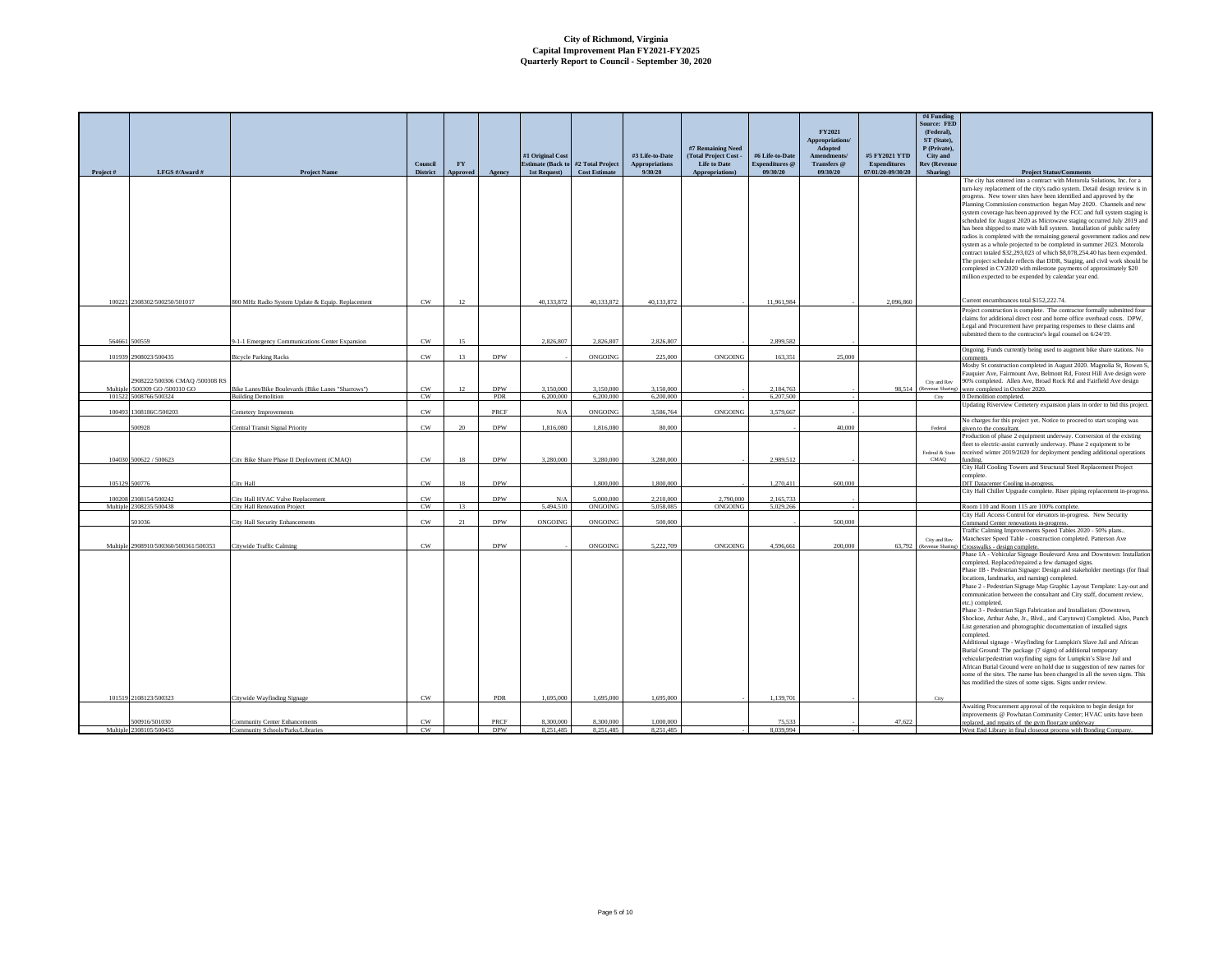|                    |                                                        |                                                                      |                            |                  |                           |                                            |                        |                        |                                            |                        | FY2021                 |                   | #4 Funding<br><b>Source: FED</b><br>(Federal), |                                                                                                                                                       |
|--------------------|--------------------------------------------------------|----------------------------------------------------------------------|----------------------------|------------------|---------------------------|--------------------------------------------|------------------------|------------------------|--------------------------------------------|------------------------|------------------------|-------------------|------------------------------------------------|-------------------------------------------------------------------------------------------------------------------------------------------------------|
|                    |                                                        |                                                                      |                            |                  |                           |                                            |                        |                        |                                            |                        | Appropriations/        |                   | ST (State),                                    |                                                                                                                                                       |
|                    |                                                        |                                                                      |                            |                  |                           | #1 Original Cost                           |                        | #3 Life-to-Date        | #7 Remaining Need<br>(Total Project Cost - | #6 Life-to-Date        | Adopted<br>Amendments/ | #5 FY2021 YTD     | P (Private),<br>City and                       |                                                                                                                                                       |
|                    |                                                        |                                                                      | Council                    | ${\bf F}{\bf Y}$ |                           | <b>Estimate (Back to #2 Total Project)</b> |                        | <b>Appropriations</b>  | <b>Life to Date</b>                        | Expenditures @         | Transfers @            | Expenditures      | <b>Rev (Revenue</b>                            |                                                                                                                                                       |
| Project#           | LFGS #/Award #                                         | Project Name                                                         | <b>District</b>            | <b>Approved</b>  | Agency                    | 1st Request)                               | <b>Cost Estimate</b>   | 9/30/20                | Appropriations)                            | 09/30/20               | 09/30/20               | 07/01/20-09/30/20 | Sharing)                                       | <b>Project Status/Comments</b><br>The city has entered into a contract with Motorola Solutions, Inc. for a                                            |
|                    |                                                        |                                                                      |                            |                  |                           |                                            |                        |                        |                                            |                        |                        |                   |                                                | turn-key replacement of the city's radio system. Detail design review is in                                                                           |
|                    |                                                        |                                                                      |                            |                  |                           |                                            |                        |                        |                                            |                        |                        |                   |                                                | progress. New tower sites have been identified and approved by the<br>Planning Commission construction began May 2020. Channels and new               |
|                    |                                                        |                                                                      |                            |                  |                           |                                            |                        |                        |                                            |                        |                        |                   |                                                | system coverage has been approved by the FCC and full system staging is                                                                               |
|                    |                                                        |                                                                      |                            |                  |                           |                                            |                        |                        |                                            |                        |                        |                   |                                                | scheduled for August 2020 as Microwave staging occurred July 2019 and                                                                                 |
|                    |                                                        |                                                                      |                            |                  |                           |                                            |                        |                        |                                            |                        |                        |                   |                                                | has been shipped to mate with full system. Installation of public safety<br>radios is completed with the remaining general government radios and new  |
|                    |                                                        |                                                                      |                            |                  |                           |                                            |                        |                        |                                            |                        |                        |                   |                                                | system as a whole projected to be completed in summer 2023. Motorola                                                                                  |
|                    |                                                        |                                                                      |                            |                  |                           |                                            |                        |                        |                                            |                        |                        |                   |                                                | contract totaled \$32,293,023 of which \$8,078,254.40 has been expended.<br>The project schedule reflects that DDR, Staging, and civil work should be |
|                    |                                                        |                                                                      |                            |                  |                           |                                            |                        |                        |                                            |                        |                        |                   |                                                | completed in CY2020 with milestone payments of approximately \$20                                                                                     |
|                    |                                                        |                                                                      |                            |                  |                           |                                            |                        |                        |                                            |                        |                        |                   |                                                | million expected to be expended by calendar year end.                                                                                                 |
|                    |                                                        |                                                                      |                            |                  |                           |                                            |                        |                        |                                            |                        |                        |                   |                                                |                                                                                                                                                       |
| 100221             | 2308302/500250/501017                                  | 800 MHz Radio System Update & Equip. Replacement                     | CW                         | 12               |                           | 40 133 872                                 | 40.133.872             | 40 133 872             |                                            | 11.961.984             |                        | 2.096.860         |                                                | Current encumbrances total \$152,222.74.                                                                                                              |
|                    |                                                        |                                                                      |                            |                  |                           |                                            |                        |                        |                                            |                        |                        |                   |                                                | Project construction is complete. The contractor formally submitted four<br>laims for additional direct cost and home office overhead costs. DPW,     |
|                    |                                                        |                                                                      |                            |                  |                           |                                            |                        |                        |                                            |                        |                        |                   |                                                | Legal and Procurement have preparing responses to these claims and                                                                                    |
| 564661             | 500559                                                 | 9-1-1 Emergency Communications Center Expansion                      | CW                         | 15               |                           | 2.826.807                                  | 2.826,807              | 2,826,807              |                                            | 2.899.582              |                        |                   |                                                | ubmitted them to the contractor's legal counsel on 6/24/19.                                                                                           |
|                    |                                                        |                                                                      |                            |                  |                           |                                            |                        |                        |                                            |                        |                        |                   |                                                | Ongoing. Funds currently being used to augment bike share stations. No                                                                                |
| 101939             | 2908023/500435                                         | <b>Bicycle Parking Racks</b>                                         | $_{\rm CW}$                | 13               | <b>DPW</b>                |                                            | ONGOING                | 225,000                | ONGOING                                    | 163,351                | 25,000                 |                   |                                                | comments<br>Mosby St construction completed in August 2020. Magnolia St, Rowen S                                                                      |
|                    |                                                        |                                                                      |                            |                  |                           |                                            |                        |                        |                                            |                        |                        |                   |                                                | Fauquier Ave, Fairmount Ave, Belmont Rd, Forest Hill Ave design were                                                                                  |
| Multiple           | 2908222/500306 CMAQ /500308 RS<br>500309 GO /500310 GO | Bike Lanes/Bike Boulevards (Bike Lanes "Sharrows")                   | $_{\rm CW}$                | 12               | <b>DPW</b>                | 3,150,000                                  | 3,150,000              | 3,150,000              |                                            | 2,184,763              |                        | 98,514            | City and Rev                                   | 90% completed. Allen Ave, Broad Rock Rd and Fairfield Ave design<br>(Revenue Sharing) were completed in October 2020.                                 |
|                    | 101522 5008766/500324                                  | <b>Building Demolition</b>                                           | CW                         |                  | PDR                       | 6.200,000                                  | 6,200,000              | 6,200,000              |                                            | 6.207.500              |                        |                   | City                                           | 0 Demolition completed.                                                                                                                               |
| 100493             | 1308186C/500203                                        | Cemetery Improvemen                                                  | CW                         |                  | PRCF                      | N/A                                        | ONGOING                | 3,586,764              | ONGOING                                    | 3.579.667              |                        |                   |                                                | Updating Riverview Cemetery expansion plans in order to bid this project                                                                              |
|                    |                                                        |                                                                      |                            |                  |                           |                                            |                        |                        |                                            |                        |                        |                   |                                                | No charges for this project yet. Notice to proceed to start scoping was                                                                               |
|                    | 500928                                                 | Central Transit Signal Priority                                      | $_{\rm CW}$                | 20               | <b>DPW</b>                | 1,816,080                                  | 1,816,080              | 80,000                 |                                            |                        | 40,000                 |                   | Federal                                        | given to the consultant.<br>Production of phase 2 equipment underway. Conversion of the existing                                                      |
|                    |                                                        |                                                                      |                            |                  |                           |                                            |                        |                        |                                            |                        |                        |                   |                                                | fleet to electric-assist currently underway. Phase 2 equipment to be                                                                                  |
|                    | 104030 500622 / 500623                                 | City Bike Share Phase II Deployment (CMAQ)                           | CW                         | 18               | <b>DPW</b>                | 3,280,000                                  | 3,280,000              | 3,280,000              |                                            | 2.989.512              |                        |                   | Federal & State<br>CMAQ                        | received winter 2019/2020 for deployment pending additional operations<br>unding.                                                                     |
|                    |                                                        |                                                                      |                            |                  |                           |                                            |                        |                        |                                            |                        |                        |                   |                                                | City Hall Cooling Towers and Structural Steel Replacement Project                                                                                     |
| 105129             | 500776                                                 | City Hall                                                            | $_{\rm CW}$                | 18               | <b>DPW</b>                |                                            | 1.800,000              | 1,800,000              |                                            | 1,270,411              | 600,000                |                   |                                                | omplete.<br><b>OIT Datacenter Cooling in-progress.</b>                                                                                                |
|                    | 2308154/500242                                         |                                                                      |                            |                  | <b>DPW</b>                |                                            | 5,000,000              |                        |                                            |                        |                        |                   |                                                | City Hall Chiller Upgrade complete. Riser piping replacement in-progres                                                                               |
| 100208<br>Multiple | 2308235/500438                                         | City Hall HVAC Valve Replacement<br>City Hall Renovation Project     | $_{\rm CW}$<br>$_{\rm CW}$ | 13               |                           | $\rm N/A$<br>5,494,510                     | <b>ONGOING</b>         | 2,210,000<br>5,058,085 | 2,790,000<br><b>ONGOING</b>                | 2,165,733<br>5.029.266 |                        |                   |                                                | Room 110 and Room 115 are 100% complete.                                                                                                              |
|                    | 501036                                                 | City Hall Security Enhancements                                      | CW                         | 21               | <b>DPW</b>                | ONGOING                                    | ONGOING                | 500,000                |                                            |                        | 500,000                |                   |                                                | City Hall Access Control for elevators in-progress. New Security                                                                                      |
|                    |                                                        |                                                                      |                            |                  |                           |                                            |                        |                        |                                            |                        |                        |                   |                                                | Command Center renovations in-progress.<br>Traffic Calming Improvements Speed Tables 2020 - 50% plans                                                 |
|                    |                                                        |                                                                      |                            |                  |                           |                                            |                        |                        |                                            |                        |                        |                   | City and Rev                                   | Manchester Speed Table - construction completed. Patterson Ave                                                                                        |
| Multiple           | 2908910/500360/500361/500353                           | Citywide Traffic Calming                                             | $_{\rm CW}$                |                  | <b>DPW</b>                |                                            | ONGOING                | 5.222.709              | ONGOING                                    | 4,596,661              | 200,000                | 63,792            | (Revenue Sharing)                              | Crosswalks - design complete.<br>Phase 1A - Vehicular Signage Boulevard Area and Downtown: Installation                                               |
|                    |                                                        |                                                                      |                            |                  |                           |                                            |                        |                        |                                            |                        |                        |                   |                                                | completed. Replaced/repaired a few damaged signs.                                                                                                     |
|                    |                                                        |                                                                      |                            |                  |                           |                                            |                        |                        |                                            |                        |                        |                   |                                                | Phase 1B - Pedestrian Signage: Design and stakeholder meetings (for final<br>locations, landmarks, and naming) completed.                             |
|                    |                                                        |                                                                      |                            |                  |                           |                                            |                        |                        |                                            |                        |                        |                   |                                                | Phase 2 - Pedestrian Signage Map Graphic Layout Template: Lay-out and                                                                                 |
|                    |                                                        |                                                                      |                            |                  |                           |                                            |                        |                        |                                            |                        |                        |                   |                                                | communication between the consultant and City staff, document review,<br>etc.) completed.                                                             |
|                    |                                                        |                                                                      |                            |                  |                           |                                            |                        |                        |                                            |                        |                        |                   |                                                | Phase 3 - Pedestrian Sign Fabrication and Installation: (Downtown,                                                                                    |
|                    |                                                        |                                                                      |                            |                  |                           |                                            |                        |                        |                                            |                        |                        |                   |                                                | Shockoe, Arthur Ashe, Jr., Blvd., and Carytown) Completed. Also, Punch                                                                                |
|                    |                                                        |                                                                      |                            |                  |                           |                                            |                        |                        |                                            |                        |                        |                   |                                                | List generation and photographic documentation of installed signs<br>completed                                                                        |
|                    |                                                        |                                                                      |                            |                  |                           |                                            |                        |                        |                                            |                        |                        |                   |                                                | Additional signage - Wayfinding for Lumpkin's Slave Jail and African                                                                                  |
|                    |                                                        |                                                                      |                            |                  |                           |                                            |                        |                        |                                            |                        |                        |                   |                                                | Burial Ground: The package (7 signs) of additional temporary<br>vehicular/pedestrian wayfinding signs for Lumpkin's Slave Jail and                    |
|                    |                                                        |                                                                      |                            |                  |                           |                                            |                        |                        |                                            |                        |                        |                   |                                                | African Burial Ground were on hold due to suggestion of new names for                                                                                 |
|                    |                                                        |                                                                      |                            |                  |                           |                                            |                        |                        |                                            |                        |                        |                   |                                                | ome of the sites. The name has been changed in all the seven signs. This<br>has modified the sizes of some signs. Signs under review.                 |
|                    |                                                        |                                                                      |                            |                  |                           |                                            |                        |                        |                                            |                        |                        |                   |                                                |                                                                                                                                                       |
|                    | 101519 2108123/500323                                  | Citywide Wayfinding Signage                                          | CW                         |                  | <b>PDR</b>                | 1.695.000                                  | 1.695.000              | 1,695,000              |                                            | 1.139.701              |                        |                   | City                                           | Awaiting Procurement approval of the requisiton to begin design for                                                                                   |
|                    |                                                        |                                                                      |                            |                  |                           |                                            |                        |                        |                                            |                        |                        |                   |                                                | improvements @ Powhatan Community Center; HVAC units have been                                                                                        |
|                    | 500916/501030<br>Multiple 2308105/500455               | <b>Community Center Enhancements</b><br>unity Schools/Parks/Librarie | CW<br>CW                   |                  | <b>PRCF</b><br><b>DPW</b> | 8.300.000<br>8.251.485                     | 8.300.000<br>8.251.485 | 1.000.000<br>8.251.485 |                                            | 75,533<br>8.039.994    |                        | 47,622            |                                                | replaced, and repairs of the gym floor; are underway<br>West End Library in final closeout process with Bonding Company                               |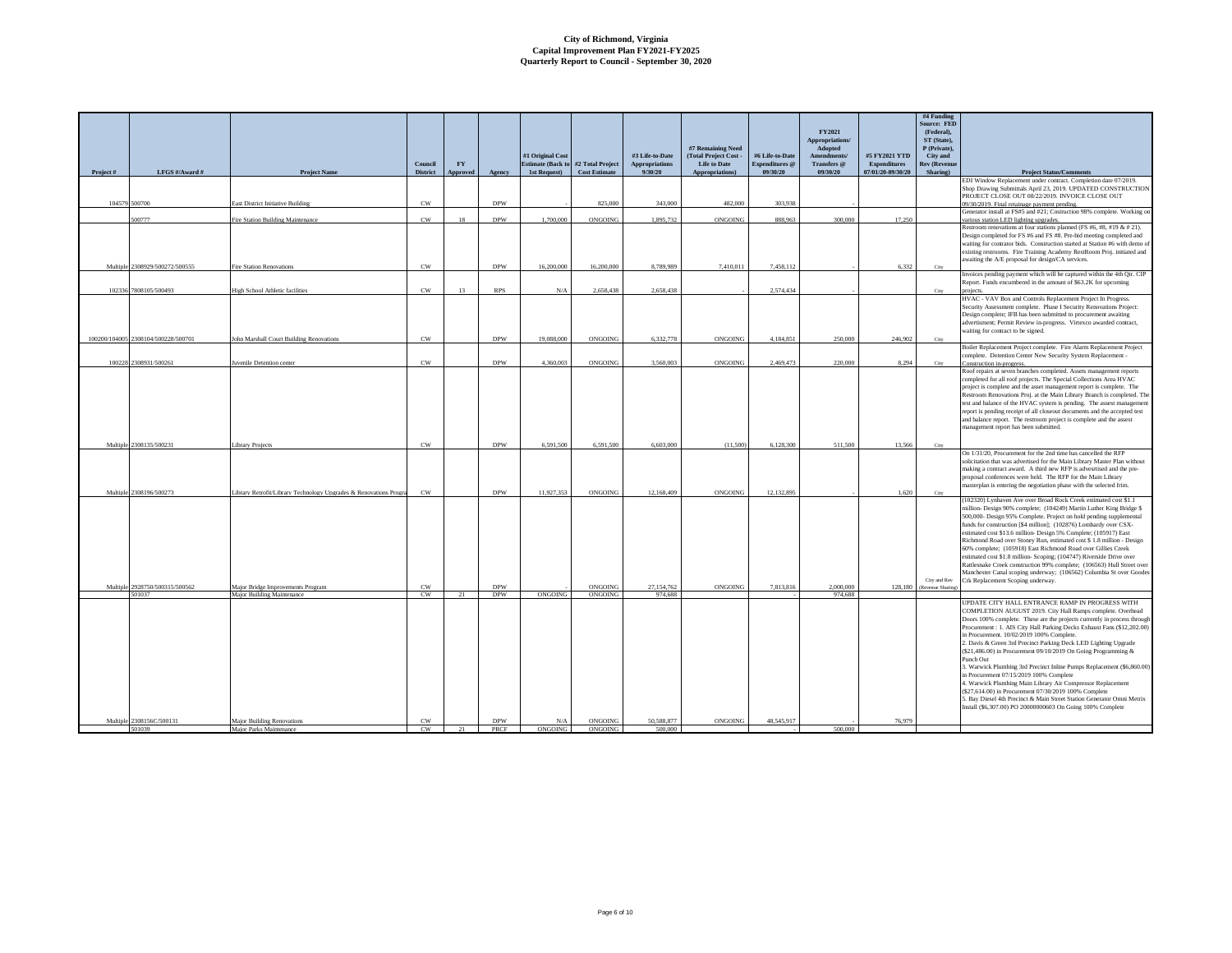|          | LFGS #/Award #                                   |                                                                   | Council                     | ${\bf F}{\bf Y}$ |                          | #1 Original Cost       | <b>Estimate (Back to #2 Total Project</b><br>1st Request) Cost Estimate | #3 Life-to-Date<br><b>Appropriations</b><br>9/30/20 | #7 Remaining Need<br>(Total Project Cost -<br><b>Life to Date</b> | #6 Life-to-Date<br><b>Expenditures</b> @<br>09/30/20 | FY2021<br>Appropriations/<br>Adopted<br>Amendments/<br>Transfers @<br>09/30/20 | #5 FY2021 YTD<br>Expenditures<br>07/01/20-09/30/20 | #4 Funding<br>Source: FED<br>(Federal).<br>ST (State),<br>P (Private),<br>City and<br><b>Rev</b> (Revenue |                                                                                                                                                                                                                                                                                                                                                                                                                                                                                                                                                                                                                                                                                                                                                                                                                                                         |
|----------|--------------------------------------------------|-------------------------------------------------------------------|-----------------------------|------------------|--------------------------|------------------------|-------------------------------------------------------------------------|-----------------------------------------------------|-------------------------------------------------------------------|------------------------------------------------------|--------------------------------------------------------------------------------|----------------------------------------------------|-----------------------------------------------------------------------------------------------------------|---------------------------------------------------------------------------------------------------------------------------------------------------------------------------------------------------------------------------------------------------------------------------------------------------------------------------------------------------------------------------------------------------------------------------------------------------------------------------------------------------------------------------------------------------------------------------------------------------------------------------------------------------------------------------------------------------------------------------------------------------------------------------------------------------------------------------------------------------------|
| Project# |                                                  | Project Name                                                      | <b>District</b>             | Approved         | Agency                   |                        |                                                                         |                                                     | Appropriations)                                                   |                                                      |                                                                                |                                                    | Sharing)                                                                                                  | <b>Project Status/Comments</b><br>EDI Window Replacement under contract. Completion date 07/2019.                                                                                                                                                                                                                                                                                                                                                                                                                                                                                                                                                                                                                                                                                                                                                       |
|          | 104579 500700                                    | East District Initiative Building                                 | CW                          |                  | <b>DPW</b>               |                        | 825,000                                                                 | 343,000                                             | 482,000                                                           | 303,938                                              |                                                                                |                                                    |                                                                                                           | Shop Drawing Submittals April 23, 2019. UPDATED CONSTRUCTION<br>PROJECT CLOSE OUT 08/22/2019. INVOICE CLOSE OUT<br>09/30/2019. Final retainage payment pending.                                                                                                                                                                                                                                                                                                                                                                                                                                                                                                                                                                                                                                                                                         |
|          |                                                  |                                                                   |                             |                  |                          |                        |                                                                         |                                                     |                                                                   |                                                      |                                                                                |                                                    |                                                                                                           | Generator install at FS#5 and #21; Costruction 98% complete. Working or                                                                                                                                                                                                                                                                                                                                                                                                                                                                                                                                                                                                                                                                                                                                                                                 |
|          | 500777                                           | Fire Station Building Maintenance                                 | CW                          | 18               | <b>DPW</b>               | 1.700.000              | <b>ONGOING</b>                                                          | 1.895.732                                           | ONGOING                                                           | 888 963                                              | 300,000                                                                        | 17.250                                             |                                                                                                           | various station LED lighting upgrades.<br>Restroom renovations at four stations planned (FS #6, #8, #19 & # 21).                                                                                                                                                                                                                                                                                                                                                                                                                                                                                                                                                                                                                                                                                                                                        |
|          |                                                  |                                                                   |                             |                  |                          |                        |                                                                         |                                                     |                                                                   |                                                      |                                                                                |                                                    |                                                                                                           | Design completed for FS #6 and FS #8. Pre-bid meeting completed and<br>waiting for contrator bids. Construction started at Station #6 with demo o<br>existing restrooms. Fire Training Academy RestRoom Proj. initiated and<br>awaiting the A/E proposal for design/CA services.                                                                                                                                                                                                                                                                                                                                                                                                                                                                                                                                                                        |
|          | Multiple 2308929/500272/500555                   | <b>Fire Station Renovations</b>                                   | <b>CW</b>                   |                  | <b>DPW</b>               | 16,200,000             | 16,200,000                                                              | 8.789.989                                           | 7.410.011                                                         | 7.458.112                                            |                                                                                | 6.332                                              | City                                                                                                      |                                                                                                                                                                                                                                                                                                                                                                                                                                                                                                                                                                                                                                                                                                                                                                                                                                                         |
|          | 102336 7808105/500493                            | <b>High School Athletic facilities</b>                            | $_{\rm CW}$                 | 13               | <b>RPS</b>               | N/A                    | 2,658,438                                                               | 2,658,438                                           |                                                                   | 2,574,434                                            |                                                                                |                                                    | City                                                                                                      | Invoices pending payment which will be captured within the 4th Qtr. CIP<br>Report. Funds encumbered in the amount of \$63.2K for upcoming<br>projects.                                                                                                                                                                                                                                                                                                                                                                                                                                                                                                                                                                                                                                                                                                  |
|          |                                                  |                                                                   |                             |                  |                          |                        |                                                                         |                                                     |                                                                   |                                                      |                                                                                |                                                    |                                                                                                           | HVAC - VAV Box and Controls Replacement Project In Progress.<br>Security Assessment complete. Phase I Security Renovations Project:<br>Design complete; IFB has been submitted to procurement awaiting<br>advertisment; Permit Review in-progress. Virtexco awarded contract,<br>waiting for contract to be signed.                                                                                                                                                                                                                                                                                                                                                                                                                                                                                                                                     |
|          | 100200/104005 2308104/500228/500701              | John Marshall Court Building Renovations                          | CW                          |                  | <b>DPW</b>               | 19.088.000             | <b>ONGOING</b>                                                          | 6.332.778                                           | ONGOING                                                           | 4.184.851                                            | 250,000                                                                        | 246.902                                            | City                                                                                                      | Boiler Replacement Project complete. Fire Alarm Replacement Project                                                                                                                                                                                                                                                                                                                                                                                                                                                                                                                                                                                                                                                                                                                                                                                     |
|          |                                                  |                                                                   |                             |                  |                          |                        |                                                                         |                                                     |                                                                   |                                                      |                                                                                |                                                    |                                                                                                           | complete. Detention Center New Security System Replacement -                                                                                                                                                                                                                                                                                                                                                                                                                                                                                                                                                                                                                                                                                                                                                                                            |
|          | 100228 2308931/500261<br>Multiple 2308135/500231 | Juvenile Detention center<br><b>Library Projects</b>              | $_{\text{CW}}$<br><b>CW</b> |                  | <b>DPW</b><br><b>DPW</b> | 4.360,003<br>6.591.500 | ONGOING<br>6.591.500                                                    | 3.560,003<br>6,603,000                              | ONGOING<br>(11.500)                                               | 2.469.473<br>6,128,300                               | 220,000<br>511,500                                                             | 8.294<br>13.566                                    | City<br>City                                                                                              | Construction in-progress.<br>Roof repairs at seven branches completed. Assets management reports<br>completed for all roof projects. The Special Collections Area HVAC<br>project is complete and the asset management report is complete. The<br>Restroom Renovations Proj. at the Main Library Branch is completed. The<br>test and balance of the HVAC system is pending. The assest management<br>report is pending receipt of all closeout documents and the accepted test<br>and balance report. The restroom project is complete and the assest<br>management report has been submitted.                                                                                                                                                                                                                                                         |
|          | Multiple 2308196/500273                          | Library Retrofit/Library Technology Upgrades & Renovations Progra | CW                          |                  | <b>DPW</b>               | 11.927.353             | <b>ONGOING</b>                                                          | 12.168.409                                          | ONGOING                                                           | 12.132.895                                           |                                                                                | 1.620                                              | City                                                                                                      | On 1/31/20. Procurement for the 2nd time has cancelled the RFP<br>solicitation that was advertised for the Main Library Master Plan without<br>making a contract award. A third new RFP is advesrtised and the pre-<br>proposal conferences were held. The RFP for the Main Library<br>masterplan is entering the negotiation phase with the selected frim.                                                                                                                                                                                                                                                                                                                                                                                                                                                                                             |
|          | Multiple 2928750/500315/500562<br>501037         | Major Bridge Improvements Program<br>Major Building Maintenance   | CW<br>CW                    | 21               | <b>DPW</b><br><b>DPW</b> | ONGOING                | <b>ONGOING</b><br>ONGOING                                               | 27.154.762<br>974.688                               | ONGOING                                                           | 7.813.816                                            | 2.000,000<br>974,688                                                           | 128,180                                            | City and Rev<br>(Revenue Sharin                                                                           | (102320) Lynhaven Ave over Broad Rock Creek estimated cost \$1.1<br>million- Design 90% complete; (104249) Martin Luther King Bridge \$<br>500,000- Design 95% Complete. Project on hold pending supplemental<br>funds for construction [\$4 million]; (102876) Lombardy over CSX-<br>estimated cost \$13.6 million- Design 5% Complete; (105917) East<br>Richmond Road over Stoney Run, estimated cost \$ 1.8 million - Design<br>60% complete; (105918) East Richmond Road over Gillies Creek<br>estimated cost \$1.8 million- Scoping; (104747) Riverside Drive over<br>Rattlesnake Creek construction 99% complete; (106563) Hull Street over<br>Manchester Canal scoping underway; (106562) Columbia St over Goodes<br>Crk Replacement Scoping underway.                                                                                           |
|          | Multiple 2308156C/500131                         | <b>Major Building Renovations</b>                                 | <b>CW</b><br>CW             |                  | <b>DPW</b><br>PRCF       | N/A<br>ONGOING         | ONGOING                                                                 | 50 588 877<br>500 000                               | ONGOING                                                           | 48,545,917                                           | 500,000                                                                        | 76,979                                             |                                                                                                           | UPDATE CITY HALL ENTRANCE RAMP IN PROGRESS WITH<br>COMPLETION AUGUST 2019. City Hall Ramps complete. Overhead<br>Doors 100% complete. These are the projects currently in process through<br>Procurement: 1. AIS City Hall Parking Decks Exhaust Fans (\$12,202.00)<br>in Procurement. 10/02/2019 100% Complete.<br>2. Davis & Green 3rd Precinct Parking Deck LED Lighting Upgrade<br>(\$21,486.00) in Procurement 09/10/2019 On Going Programming &<br>Punch Out<br>3. Warwick Plumbing 3rd Precinct Inline Pumps Replacement (\$6,860.00)<br>in Procurement 07/15/2019 100% Complete<br>4. Warwick Plumbing Main Library Air Compressor Replacement<br>(\$27,614.00) in Procurement 07/30/2019 100% Complete<br>5. Bay Diesel 4th Precinct & Main Street Station Generator Omni Metrix<br>Install (\$6,307.00) PO 20000000603 On Going 100% Complete |
|          | 501039                                           | <b>Major Parks Maintenance</b>                                    |                             |                  |                          |                        | <b>ONGOING</b>                                                          |                                                     |                                                                   |                                                      |                                                                                |                                                    |                                                                                                           |                                                                                                                                                                                                                                                                                                                                                                                                                                                                                                                                                                                                                                                                                                                                                                                                                                                         |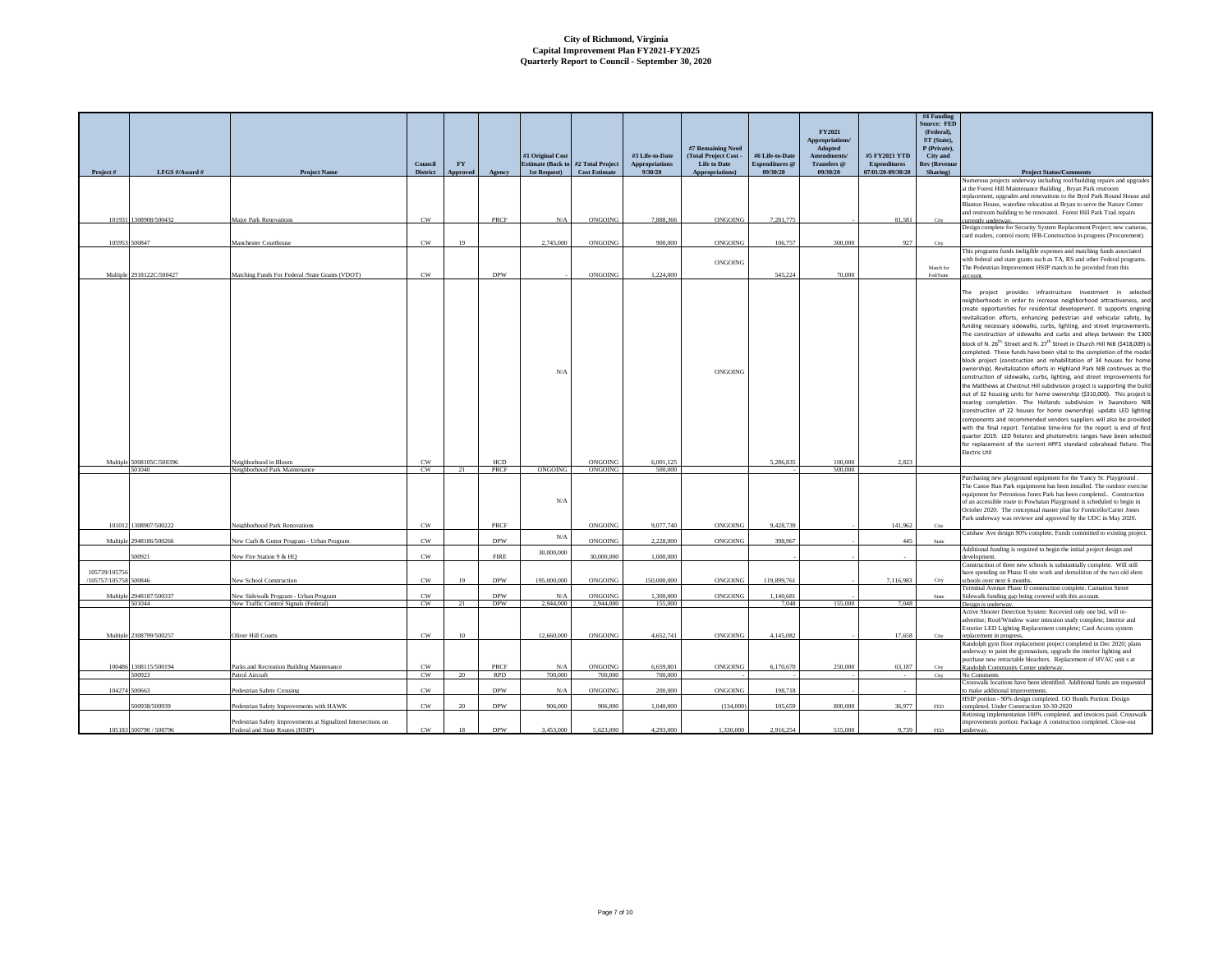| Project#              | LFGS #/Award #                    | <b>Project Name</b>                                           | Council<br><b>District</b> | <b>FY</b><br>Annroved | Agency                   | #1 Original Cost | <b>Estimate (Back to #2 Total Project</b><br>1st Request) Cost Estimate | #3 Life-to-Date<br>${\large \bf Approxations}$<br>9/30/20 | #7 Remaining Need<br>(Total Project Cost -<br><b>Life to Date</b><br>Appropriations) | #6 Life-to-Date<br>Expenditures @<br>09/30/20 | FY2021<br>Appropriations/<br>Adopted<br>Amendments/<br>Transfers @<br>09/30/20 | #5 FY2021 YTD<br><b>Expenditures</b><br>07/01/20-09/30/20 | #4 Funding<br><b>Source: FED</b><br>(Federal),<br>ST (State),<br>P (Private),<br>City and<br><b>Rev (Revenue</b><br>Sharing) | <b>Project Status/Comments</b>                                                                                                                      |
|-----------------------|-----------------------------------|---------------------------------------------------------------|----------------------------|-----------------------|--------------------------|------------------|-------------------------------------------------------------------------|-----------------------------------------------------------|--------------------------------------------------------------------------------------|-----------------------------------------------|--------------------------------------------------------------------------------|-----------------------------------------------------------|------------------------------------------------------------------------------------------------------------------------------|-----------------------------------------------------------------------------------------------------------------------------------------------------|
|                       |                                   |                                                               |                            |                       |                          |                  |                                                                         |                                                           |                                                                                      |                                               |                                                                                |                                                           |                                                                                                                              | Numerous projects underway including roof/building repairs and upgrades                                                                             |
|                       |                                   |                                                               |                            |                       |                          |                  |                                                                         |                                                           |                                                                                      |                                               |                                                                                |                                                           |                                                                                                                              | at the Forest Hill Maintenance Building, Bryan Park restroom<br>replacement, upgrades and renovations to the Byrd Park Round House and              |
|                       |                                   |                                                               |                            |                       |                          |                  |                                                                         |                                                           |                                                                                      |                                               |                                                                                |                                                           |                                                                                                                              | Blanton House, waterline relocation at Bryan to serve the Nature Center                                                                             |
|                       | 101931 1308908/500432             | Major Park Renovations                                        | CW                         |                       | PRCF                     | N/A              | <b>ONGOING</b>                                                          | 7,888,366                                                 | ONGOING                                                                              | 7,281,775                                     |                                                                                | 81.581                                                    | City                                                                                                                         | and restroom building to be renovated. Forest Hill Park Trail repairs<br>urrently underway.                                                         |
|                       |                                   |                                                               |                            |                       |                          |                  |                                                                         |                                                           |                                                                                      |                                               |                                                                                |                                                           |                                                                                                                              | Design complete for Security System Replacement Project; new cameras,                                                                               |
|                       |                                   |                                                               |                            |                       |                          |                  |                                                                         |                                                           |                                                                                      |                                               |                                                                                |                                                           |                                                                                                                              | card readers, control room; IFB-Construction in-progress (Procurement).                                                                             |
|                       | 105953 500847                     | Manchester Courthouse                                         | $\mathrm{CW}$              | 19                    |                          | 2,745,000        | ONGOING                                                                 | 900,000                                                   | ONGOING                                                                              | 106,757                                       | 300,000                                                                        | 927                                                       | City                                                                                                                         | This programs funds ineligible expenses and matching funds associated                                                                               |
|                       |                                   |                                                               |                            |                       |                          |                  |                                                                         |                                                           | ONGOING                                                                              |                                               |                                                                                |                                                           |                                                                                                                              | with federal and state grants such as TA, RS and other Federal programs.                                                                            |
|                       | Multiple 2918122C/500427          | Matching Funds For Federal /State Grants (VDOT)               | $_{\rm CW}$                |                       | <b>DPW</b>               |                  | $\mathop{\rm ONGOING}\nolimits$                                         | 1,224,000                                                 |                                                                                      | 545,224                                       | 70,000                                                                         |                                                           | Match for<br>Fed/State                                                                                                       | The Pedestrian Improvement HSIP match to be provided from this<br>account.                                                                          |
|                       |                                   |                                                               |                            |                       |                          |                  |                                                                         |                                                           |                                                                                      |                                               |                                                                                |                                                           |                                                                                                                              |                                                                                                                                                     |
|                       |                                   |                                                               |                            |                       |                          |                  |                                                                         |                                                           |                                                                                      |                                               |                                                                                |                                                           |                                                                                                                              | The project provides infrastructure investment in selected                                                                                          |
|                       |                                   |                                                               |                            |                       |                          |                  |                                                                         |                                                           |                                                                                      |                                               |                                                                                |                                                           |                                                                                                                              | neighborhoods in order to increase neighborhood attractiveness, and                                                                                 |
|                       |                                   |                                                               |                            |                       |                          |                  |                                                                         |                                                           |                                                                                      |                                               |                                                                                |                                                           |                                                                                                                              | create opportunities for residential development. It supports ongoing<br>revitalization efforts, enhancing pedestrian and vehicular safety, by      |
|                       |                                   |                                                               |                            |                       |                          |                  |                                                                         |                                                           |                                                                                      |                                               |                                                                                |                                                           |                                                                                                                              | funding necessary sidewalks, curbs, lighting, and street improvements.                                                                              |
|                       |                                   |                                                               |                            |                       |                          |                  |                                                                         |                                                           |                                                                                      |                                               |                                                                                |                                                           |                                                                                                                              | The construction of sidewalks and curbs and alleys between the 1300                                                                                 |
|                       |                                   |                                                               |                            |                       |                          |                  |                                                                         |                                                           |                                                                                      |                                               |                                                                                |                                                           |                                                                                                                              | block of N. 26 <sup>th,</sup> Street and N. 27 <sup>th</sup> Street in Church Hill NiB (\$418,009) is                                               |
|                       |                                   |                                                               |                            |                       |                          |                  |                                                                         |                                                           |                                                                                      |                                               |                                                                                |                                                           |                                                                                                                              | completed. These funds have been vital to the completion of the model                                                                               |
|                       |                                   |                                                               |                            |                       |                          |                  |                                                                         |                                                           |                                                                                      |                                               |                                                                                |                                                           |                                                                                                                              | block project (construction and rehabilitation of 34 houses for home                                                                                |
|                       |                                   |                                                               |                            |                       |                          | N/A              |                                                                         |                                                           | ONGOING                                                                              |                                               |                                                                                |                                                           |                                                                                                                              | ownership). Revitalization efforts in Highland Park NIB continues as the<br>construction of sidewalks, curbs, lighting, and street improvements for |
|                       |                                   |                                                               |                            |                       |                          |                  |                                                                         |                                                           |                                                                                      |                                               |                                                                                |                                                           |                                                                                                                              | the Matthews at Chestnut Hill subdivision project is supporting the build                                                                           |
|                       |                                   |                                                               |                            |                       |                          |                  |                                                                         |                                                           |                                                                                      |                                               |                                                                                |                                                           |                                                                                                                              | out of 32 housing units for home ownership (\$310,000). This project is                                                                             |
|                       |                                   |                                                               |                            |                       |                          |                  |                                                                         |                                                           |                                                                                      |                                               |                                                                                |                                                           |                                                                                                                              | nearing completion. The Hollands subdivision in Swansboro NiB                                                                                       |
|                       |                                   |                                                               |                            |                       |                          |                  |                                                                         |                                                           |                                                                                      |                                               |                                                                                |                                                           |                                                                                                                              | (construction of 22 houses for home ownership) update LED lighting                                                                                  |
|                       |                                   |                                                               |                            |                       |                          |                  |                                                                         |                                                           |                                                                                      |                                               |                                                                                |                                                           |                                                                                                                              | components and recommended vendors suppliers will also be provided                                                                                  |
|                       |                                   |                                                               |                            |                       |                          |                  |                                                                         |                                                           |                                                                                      |                                               |                                                                                |                                                           |                                                                                                                              | with the final report. Tentative time-line for the report is end of first<br>quarter 2019. LED fixtures and photometric ranges have been selected   |
|                       |                                   |                                                               |                            |                       |                          |                  |                                                                         |                                                           |                                                                                      |                                               |                                                                                |                                                           |                                                                                                                              | for replacement of the current HPFS standard cobrahead fixture. The                                                                                 |
|                       |                                   |                                                               |                            |                       |                          |                  |                                                                         |                                                           |                                                                                      |                                               |                                                                                |                                                           |                                                                                                                              | Electric Util                                                                                                                                       |
|                       | Multiple 5008105C/500396          | Neighborhood in Bloom                                         | CW<br>CW                   |                       | HCD                      | ONGOING          | ONGOING                                                                 | 6,001,125<br>500,000                                      |                                                                                      | 5,286,835                                     | 100,000<br>500,000                                                             | 2,823                                                     |                                                                                                                              |                                                                                                                                                     |
|                       | 501040                            | Neighborhood Park Maintenance                                 |                            | 21                    | PRCF                     |                  | ONGOING                                                                 |                                                           |                                                                                      |                                               |                                                                                |                                                           |                                                                                                                              | Purchasing new playground equipment for the Yancy St. Playground.                                                                                   |
|                       |                                   |                                                               |                            |                       |                          |                  |                                                                         |                                                           |                                                                                      |                                               |                                                                                |                                                           |                                                                                                                              | The Canoe Run Park equipmeent has been installed. The outdoor exercise                                                                              |
|                       |                                   |                                                               |                            |                       |                          |                  |                                                                         |                                                           |                                                                                      |                                               |                                                                                |                                                           |                                                                                                                              | equipment for Petronious Jones Park has been completed Construction                                                                                 |
|                       |                                   |                                                               |                            |                       |                          | N/A              |                                                                         |                                                           |                                                                                      |                                               |                                                                                |                                                           |                                                                                                                              | of an accessible route to Powhatan Playground is scheduled to begin in                                                                              |
|                       |                                   |                                                               |                            |                       |                          |                  |                                                                         |                                                           |                                                                                      |                                               |                                                                                |                                                           |                                                                                                                              | October 2020. The conceptual master plan for Fonticello/Carter Jones<br>Park underway was reviewe and approved by the UDC in May 2020.              |
|                       | 101012 1308907/500222             | Neighborhood Park Renovations                                 | CW                         |                       | PRCF                     |                  | ONGOING                                                                 | 9,077,740                                                 | <b>ONGOING</b>                                                                       | 9,428,739                                     |                                                                                | 141,962                                                   | City                                                                                                                         |                                                                                                                                                     |
| Multiple              | 2948186/500266                    | New Curb & Gutter Program - Urban Program                     | CW                         |                       | <b>DPW</b>               | N/A              | ONGOING                                                                 | 2.228,000                                                 | ONGOING                                                                              | 398,967                                       |                                                                                | 445                                                       | State                                                                                                                        | Cutshaw Ave design 90% complete. Funds committed to existing project.                                                                               |
|                       |                                   |                                                               |                            |                       |                          | 30,000,000       |                                                                         |                                                           |                                                                                      |                                               |                                                                                |                                                           |                                                                                                                              | Additional funding is required to begin the initial project design and                                                                              |
|                       | 500921                            | New Fire Station 9 & HQ                                       | CW                         |                       | <b>FIRE</b>              |                  | 30,000,000                                                              | 1,000,000                                                 |                                                                                      |                                               |                                                                                |                                                           |                                                                                                                              | development.                                                                                                                                        |
| 105739/105756         |                                   |                                                               |                            |                       |                          |                  |                                                                         |                                                           |                                                                                      |                                               |                                                                                |                                                           |                                                                                                                              | Construction of three new schools is substantially complete. Will still<br>have spending on Phase II site work and demolition of the two old elem   |
| /105757/105758 500846 |                                   | <b>New School Construction</b>                                | CW                         | 19                    | <b>DPW</b>               | 195,000,000      | ONGOING                                                                 | 150,000,000                                               | ONGOING                                                                              | 119,899.761                                   |                                                                                | 7.116.983                                                 | City                                                                                                                         | schools over next 6 months                                                                                                                          |
|                       |                                   |                                                               |                            |                       |                          |                  |                                                                         |                                                           |                                                                                      |                                               |                                                                                |                                                           |                                                                                                                              | Terminal Avenue Phase II construction complete. Carnation Street                                                                                    |
|                       | Multiple 2948187/500337<br>501044 | New Sidewalk Program - Urban Program                          | CW<br>$_{\rm CW}$          |                       | <b>DPW</b><br><b>DPW</b> | N/A<br>2,944,000 | ONGOING                                                                 | 1.300,000<br>155,000                                      | ONGOING                                                                              | 1,140,681                                     | 155,000                                                                        |                                                           | State                                                                                                                        | Sidewalk funding gap being covered with this account.                                                                                               |
|                       |                                   | New Traffic Control Signals (Federal)                         |                            | 21                    |                          |                  | 2,944,000                                                               |                                                           |                                                                                      | 7,048                                         |                                                                                | 7,048                                                     |                                                                                                                              | Design is underway.<br>Active Shooter Detection System: Recevied only one bid, will re-                                                             |
|                       |                                   |                                                               |                            |                       |                          |                  |                                                                         |                                                           |                                                                                      |                                               |                                                                                |                                                           |                                                                                                                              | advertise; Roof/Window water intrusion study complete; Interior and                                                                                 |
|                       |                                   |                                                               |                            |                       |                          |                  |                                                                         |                                                           |                                                                                      |                                               |                                                                                |                                                           |                                                                                                                              | Exterior LED Lighting Replacement complete; Card Access system                                                                                      |
|                       | Multiple 2308799/500257           | Oliver Hill Courts                                            | $_{\rm CW}$                | 10                    |                          | 12,660,000       | ONGOING                                                                 | 4,652,741                                                 | ONGOING                                                                              | 4,145,082                                     |                                                                                | 17,658                                                    | City                                                                                                                         | replacement in progress.<br>Randolph gym floor replacement project completed in Dec 2020; plans                                                     |
|                       |                                   |                                                               |                            |                       |                          |                  |                                                                         |                                                           |                                                                                      |                                               |                                                                                |                                                           |                                                                                                                              | underway to paint the gymnasium, upgrade the interior lighting and                                                                                  |
|                       |                                   |                                                               |                            |                       |                          |                  |                                                                         |                                                           |                                                                                      |                                               |                                                                                |                                                           |                                                                                                                              | purchase new retractable bleachers. Replacement of HVAC unit s at                                                                                   |
|                       | 100486 1308115/500194             | Parks and Recreation Building Maintenance                     | CW                         |                       | <b>PRCF</b>              | N/A<br>700,000   | <b>ONGOING</b>                                                          | 6,659,801                                                 | ONGOING                                                                              | 6,170,670                                     | 250,000                                                                        | 63,187                                                    | City                                                                                                                         | Randolph Community Center underway.                                                                                                                 |
|                       | 500923                            | Patrol Aircraft                                               | CW                         | 20                    | <b>RPD</b>               |                  | 700,000                                                                 | 700,000                                                   |                                                                                      |                                               |                                                                                |                                                           | City                                                                                                                         | No Comments<br>Crosswalk locations have been identified. Additional funds are requested                                                             |
|                       | 104274 500663                     | Pedestrian Safety Crossing                                    | CW                         |                       | <b>DPW</b>               | N/A              | <b>ONGOING</b>                                                          | 200,000                                                   | ONGOING                                                                              | 198.718                                       |                                                                                |                                                           |                                                                                                                              | to make additional improvements.                                                                                                                    |
|                       | 500938/500939                     |                                                               | CW                         | 20                    | <b>DPW</b>               | 906,000          | 906,000                                                                 |                                                           |                                                                                      | 105,659                                       | 800,000                                                                        | 36,977                                                    |                                                                                                                              | HSIP portion - 90% design completed. GO Bonds Portion: Design                                                                                       |
|                       |                                   | Pedestrian Safety Improvements with HAWK                      |                            |                       |                          |                  |                                                                         | 1,040,000                                                 | (134,000)                                                                            |                                               |                                                                                |                                                           | FED                                                                                                                          | completed. Under Construction 10-30-2020<br>Retiming implementation 100% completed. and invoices paid. Crosswalk                                    |
|                       |                                   | Pedestrian Safety Improvements at Signalized Intersections on |                            |                       |                          |                  |                                                                         |                                                           |                                                                                      |                                               |                                                                                |                                                           |                                                                                                                              | mprovements portion: Package A construction completed. Close-out                                                                                    |
|                       | 105183 500790 / 500796            | Federal and State Routes (HSIP)                               | CW                         |                       | <b>DPW</b>               | 3453000          | 5.623.000                                                               | 4 293 000                                                 | 1.330.000                                                                            | 2.916.254                                     | 515,000                                                                        | 9.739                                                     | <b>FED</b>                                                                                                                   |                                                                                                                                                     |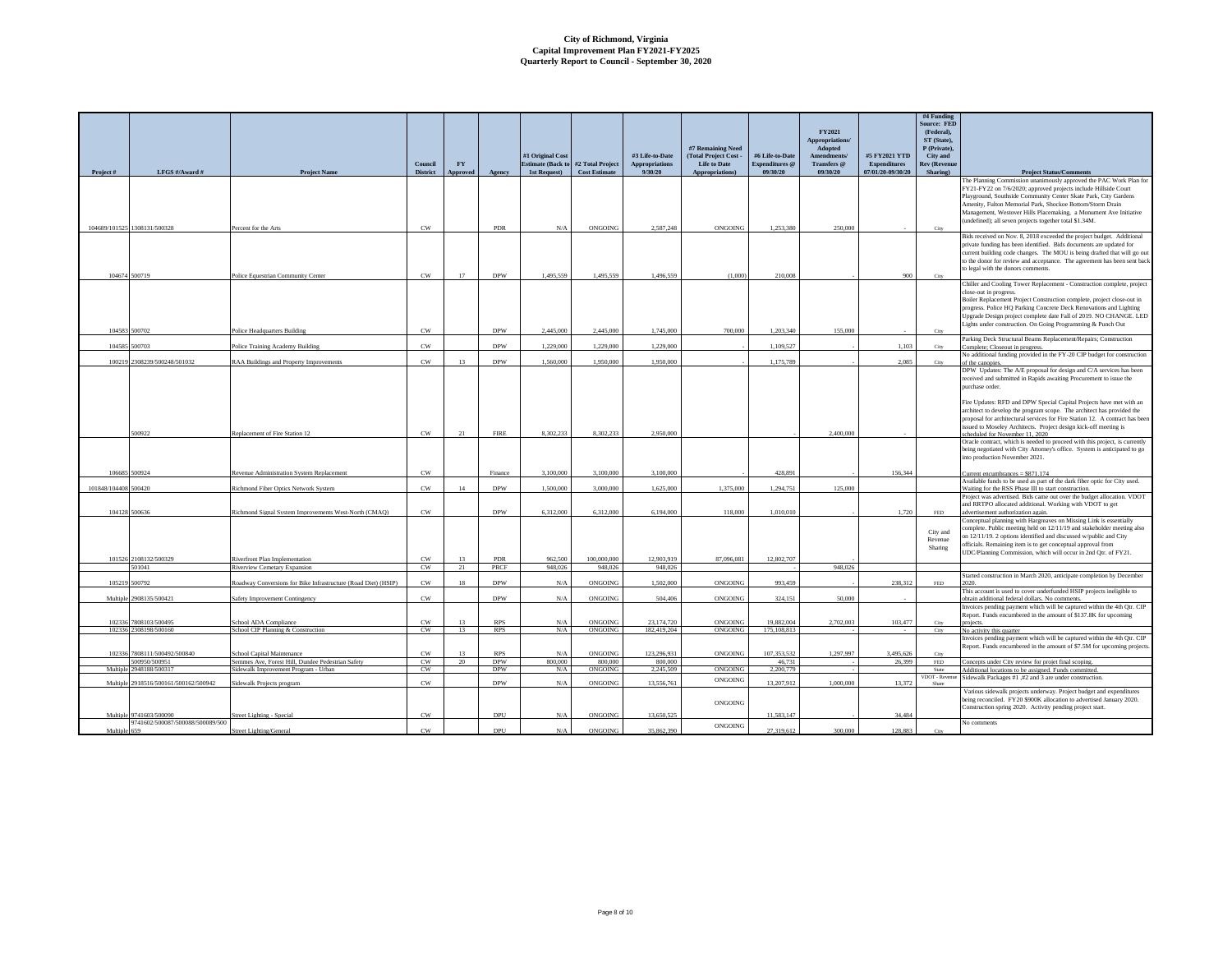| Project#             | LFGS #/Award #                                | <b>Project Name</b>                                                             | Council<br><b>District</b> | FY<br><b>Approved</b> | Agency                   | #1 Original Cost<br>1st Request) | Estimate (Back to #2 Total Project<br><b>Cost Estimate</b> | #3 Life-to-Date<br><b>Appropriations</b><br>9/30/20 | #7 Remaining Need<br>(Total Project Cost -<br><b>Life to Date</b><br>Appropriations) | #6 Life-to-Date<br><b>Expenditures</b> @<br>09/30/20 | FY2021<br>Appropriations/<br>Adopted<br>Amendments/<br>Transfers @<br>09/30/20 | #5 FY2021 YTD<br>Expenditures<br>07/01/20-09/30/20 | #4 Funding<br><b>Source: FED</b><br>(Federal).<br>ST (State).<br>P (Private),<br>City and<br><b>Rev (Revenue</b><br>Sharing) | <b>Project Status/Comments</b>                                                                                                                                                                                                                                                                                                                      |
|----------------------|-----------------------------------------------|---------------------------------------------------------------------------------|----------------------------|-----------------------|--------------------------|----------------------------------|------------------------------------------------------------|-----------------------------------------------------|--------------------------------------------------------------------------------------|------------------------------------------------------|--------------------------------------------------------------------------------|----------------------------------------------------|------------------------------------------------------------------------------------------------------------------------------|-----------------------------------------------------------------------------------------------------------------------------------------------------------------------------------------------------------------------------------------------------------------------------------------------------------------------------------------------------|
|                      |                                               |                                                                                 |                            |                       |                          |                                  |                                                            |                                                     |                                                                                      |                                                      |                                                                                |                                                    |                                                                                                                              | The Planning Commission unanimously approved the PAC Work Plan for                                                                                                                                                                                                                                                                                  |
|                      | 104689/101525 1308131/500328                  |                                                                                 | CW                         |                       | PDR                      | N/A                              | ONGOING                                                    | 2.587.248                                           | ONGOING                                                                              | 1.253.380                                            | 250,000                                                                        |                                                    | City                                                                                                                         | FY21-FY22 on 7/6/2020; approved projects include Hillside Court<br>Playground, Southside Community Center Skate Park, City Gardens<br>Amenity, Fulton Memorial Park, Shockoe Bottom/Storm Drain<br>Management, Westover Hills Placemaking, a Monument Ave Initiative<br>(undefined); all seven projects together total \$1.34M.                     |
|                      |                                               | Percent for the Arts                                                            |                            |                       |                          |                                  |                                                            |                                                     |                                                                                      |                                                      |                                                                                |                                                    |                                                                                                                              | Bids received on Nov. 8, 2018 exceeded the project budget. Additional                                                                                                                                                                                                                                                                               |
|                      | 104674 500719                                 | Police Equestrian Community Center                                              | $_{\rm CW}$                | 17                    | <b>DPW</b>               | 1.495.559                        | 1,495,559                                                  | 1,496,559                                           | (1,000)                                                                              | 210,008                                              |                                                                                | 900                                                | City                                                                                                                         | private funding has been identified. Bids documents are updated for<br>current building code changes. The MOU is being drafted that will go out<br>to the donor for review and acceptance. The agreement has been sent back<br>to legal with the donors comments.                                                                                   |
|                      |                                               |                                                                                 |                            |                       |                          |                                  |                                                            |                                                     |                                                                                      |                                                      |                                                                                |                                                    |                                                                                                                              | Chiller and Cooling Tower Replacement - Construction complete, project                                                                                                                                                                                                                                                                              |
|                      | 104583 500702                                 | Police Headquarters Building                                                    | CW                         |                       | <b>DPW</b>               | 2.445.000                        | 2.445,000                                                  | 1,745,000                                           | 700,000                                                                              | 1.203.340                                            | 155,000                                                                        |                                                    | City                                                                                                                         | close-out in progress.<br>Boiler Replacement Project Construction complete, project close-out in<br>progress. Police HQ Parking Concrete Deck Renovations and Lighting<br>Upgrade Design project complete date Fall of 2019. NO CHANGE. LED<br>Lights under construction. On Going Programming & Punch Out                                          |
|                      | 104585 500703                                 | Police Training Academy Building                                                | CW                         |                       | <b>DPW</b>               | 1.229.000                        | 1.229.000                                                  | 1.229.000                                           |                                                                                      | 1.109.527                                            |                                                                                | 1.103                                              | City                                                                                                                         | Parking Deck Structural Beams Replacement/Repairs; Construction                                                                                                                                                                                                                                                                                     |
|                      |                                               |                                                                                 |                            |                       |                          |                                  |                                                            |                                                     |                                                                                      |                                                      |                                                                                |                                                    |                                                                                                                              | Complete; Closeout in progress.<br>No additional funding provided in the FY-20 CIP budget for construction                                                                                                                                                                                                                                          |
|                      | 100219 2308239/500248/501032                  | RAA Buildings and Property Improvements                                         | CW                         | 13                    | <b>DPW</b>               | 1.560,000                        | 1.950.000                                                  | 1.950.000                                           |                                                                                      | 1,175,789                                            |                                                                                | 2,085                                              | City                                                                                                                         | of the canopies.<br>DPW Updates: The A/E proposal for design and C/A services has been                                                                                                                                                                                                                                                              |
|                      |                                               |                                                                                 |                            |                       |                          |                                  |                                                            |                                                     |                                                                                      |                                                      |                                                                                |                                                    |                                                                                                                              | received and submitted in Rapids awaiting Procurement to issue the<br>nurchase order                                                                                                                                                                                                                                                                |
|                      |                                               |                                                                                 |                            |                       |                          |                                  |                                                            |                                                     |                                                                                      |                                                      |                                                                                |                                                    |                                                                                                                              | Fire Updates: RFD and DPW Special Capital Projects have met with an<br>architect to develop the program scope. The architect has provided the<br>proposal for architectural services for Fire Station 12. A contract has been<br>issued to Moseley Architects. Project design kick-off meeting is                                                   |
|                      | 500922                                        | Replacement of Fire Station 12                                                  | CW                         | 21                    | <b>FIRE</b>              | 8.302.233                        | 8.302.233                                                  | 2.950,000                                           |                                                                                      |                                                      | 2.400,000                                                                      |                                                    |                                                                                                                              | scheduled for November 11 2020<br>Oracle contract, which is needed to proceed with this project, is currently                                                                                                                                                                                                                                       |
|                      |                                               |                                                                                 |                            |                       |                          |                                  |                                                            |                                                     |                                                                                      |                                                      |                                                                                |                                                    |                                                                                                                              | being negotiated with City Attorney's office. System is anticipated to go<br>into production November 2021.                                                                                                                                                                                                                                         |
|                      | 106685 500924                                 | Revenue Administration System Replacement                                       | CW                         |                       | Finance                  | 3,100,000                        | 3.100,000                                                  | 3,100,000                                           |                                                                                      | 428.891                                              |                                                                                | 156,344                                            |                                                                                                                              | Current encumbrances = $$871,174$<br>Available funds to be used as part of the dark fiber optic for City used.                                                                                                                                                                                                                                      |
| 101848/104408 500420 |                                               | Richmond Fiber Optics Network System                                            | $_{\rm CW}$                | 14                    | <b>DPW</b>               | 1,500,000                        | 3,000,000                                                  | 1,625,000                                           | 1,375,000                                                                            | 1,294,751                                            | 125,000                                                                        |                                                    |                                                                                                                              | Waiting for the RSS Phase III to start construction.<br>Project was advertised. Bids came out over the budget allocation. VDOT                                                                                                                                                                                                                      |
|                      | 104128 500636                                 | Richmond Signal System Improvements West-North (CMAO)                           | CW                         |                       | <b>DPW</b>               | 6.312.000                        | 6.312.000                                                  | 6.194.000                                           | 118,000                                                                              | 1.010.010                                            |                                                                                | 1.720                                              | <b>FED</b>                                                                                                                   | and RRTPO allocated additional. Working with VDOT to get<br>advertisement authorization again.                                                                                                                                                                                                                                                      |
|                      |                                               |                                                                                 |                            |                       |                          |                                  |                                                            |                                                     |                                                                                      |                                                      |                                                                                |                                                    | City and<br>Revenue<br>Sharing                                                                                               | Conceptual planning with Hargreaves on Missing Link is essentially<br>complete. Public meeting held on 12/11/19 and stakeholder meeting also<br>on 12/11/19. 2 options identified and discussed w/public and City<br>officials. Remaining item is to get conceptual approval from<br>UDC/Planning Commission, which will occur in 2nd Qtr. of FY21. |
|                      | 101526 2108132/500329<br>501041               | Riverfront Plan Implementation<br><b>Riverview Cemetary Expansion</b>           | CW<br>CW                   | 13<br>21              | PDR<br><b>PRCF</b>       | 962.500<br>948,026               | 100,000,000<br>948.026                                     | 12.903.919<br>948,026                               | 87,096,081                                                                           | 12,802,707                                           | 948,026                                                                        |                                                    |                                                                                                                              |                                                                                                                                                                                                                                                                                                                                                     |
|                      | 105219 500792                                 | Roadway Conversions for Bike Infrastructure (Road Diet) (HSIP)                  | $_{\rm CW}$                | $18\,$                | <b>DPW</b>               | N/A                              | ONGOING                                                    | 1,502,000                                           | ONGOING                                                                              | 993,459                                              |                                                                                | 238,312                                            | $\ensuremath{\mathsf{FED}}$                                                                                                  | Started construction in March 2020, anticipate completion by December                                                                                                                                                                                                                                                                               |
|                      | Multiple 2908135/500421                       | Safety Improvement Contingency                                                  | CW                         |                       | <b>DPW</b>               | N/A                              | ONGOING                                                    | 504.406                                             | ONGOING                                                                              | 324.151                                              | 50,000                                                                         |                                                    |                                                                                                                              | This account is used to cover underfunded HSIP projects ineligible to<br>obtain additional federal dollars. No comments                                                                                                                                                                                                                             |
|                      | 102336 7808103/500495                         | School ADA Compliance                                                           | CW                         | 13                    | <b>RPS</b>               | N/A                              | ONGOING                                                    | 23.174.720                                          | ONGOING                                                                              | 19.882.004                                           | 2.702.003                                                                      | 103.477                                            |                                                                                                                              | Invoices pending payment which will be captured within the 4th Qtr. CIP<br>Report. Funds encumbered in the amount of \$137.8K for upcoming                                                                                                                                                                                                          |
|                      | 102336 2308198/500160                         | School CIP Planning & Construction                                              | CW                         | 13                    | <b>RPS</b>               | N/A                              | ONGOING                                                    | 182.419.204                                         | ONGOING                                                                              | 175, 108, 813                                        |                                                                                |                                                    | City                                                                                                                         | No activity this quarter                                                                                                                                                                                                                                                                                                                            |
|                      |                                               |                                                                                 |                            |                       |                          |                                  |                                                            |                                                     |                                                                                      |                                                      |                                                                                |                                                    |                                                                                                                              | Invoices pending payment which will be captured within the 4th Qtr. CIP<br>Report. Funds encumbered in the amount of \$7.5M for upcoming projects                                                                                                                                                                                                   |
|                      | 102336 7808111/500492/500840<br>500950/500951 | School Capital Maintenance<br>Semmes Ave, Forest Hill, Dundee Pedestrian Safety | CW<br>CW                   | 13<br>20              | <b>RPS</b><br><b>DPW</b> | N/A<br>800,000                   | ONGOING<br>800.000                                         | 123,296,931<br>800,000                              | ONGOING                                                                              | 107.353.532<br>46,731                                | 1,297,997                                                                      | 3,495,626<br>26,399                                | City<br>FED.                                                                                                                 | Concepts under City review for projet final scoping.                                                                                                                                                                                                                                                                                                |
| Multiple             | 2948188/500317                                | Sidewalk Improvement Program - Urban                                            | CW                         |                       | <b>DPW</b>               | N/A                              | <b>ONGOING</b>                                             | 2.245.509                                           | ONGOING                                                                              | 2.200.779                                            |                                                                                |                                                    | State<br>VDOT - Reyenne                                                                                                      | Additional locations to be assigned. Funds committed<br>Sidewalk Packages #1,#2 and 3 are under construction.                                                                                                                                                                                                                                       |
|                      | Multiple 2918516/500161/500162/500942         | Sidewalk Projects program                                                       | CW                         |                       | <b>DPW</b>               | N/A                              | ONGOING                                                    | 13,556,761                                          | ONGOING<br>ONGOING                                                                   | 13,207,912                                           | 1,000,000                                                                      | 13,372                                             | Share                                                                                                                        | Various sidewalk projects underway. Project budget and expenditures<br>being reconciled. FY20 \$900K allocation to advertised January 2020.                                                                                                                                                                                                         |
|                      | Multiple 9741603/500090                       | <b>Street Lighting - Special</b>                                                | CW                         |                       | DPU                      | N/A                              | ONGOING                                                    | 13,650,525                                          |                                                                                      | 11.583.147                                           |                                                                                | 34,484                                             |                                                                                                                              | Construction spring 2020. Activity pending project start.                                                                                                                                                                                                                                                                                           |
| Multin               | 9741602/500087/500088/500089/500<br>650       | Street Lighting/General                                                         | CW                         |                       | DPU                      | $N/\Delta$                       | ONGOING                                                    | 35.862.390                                          | ONGOING                                                                              | 27.319.612                                           | 300,000                                                                        | 128,883                                            |                                                                                                                              | No comments                                                                                                                                                                                                                                                                                                                                         |
|                      |                                               |                                                                                 |                            |                       |                          |                                  |                                                            |                                                     |                                                                                      |                                                      |                                                                                |                                                    |                                                                                                                              |                                                                                                                                                                                                                                                                                                                                                     |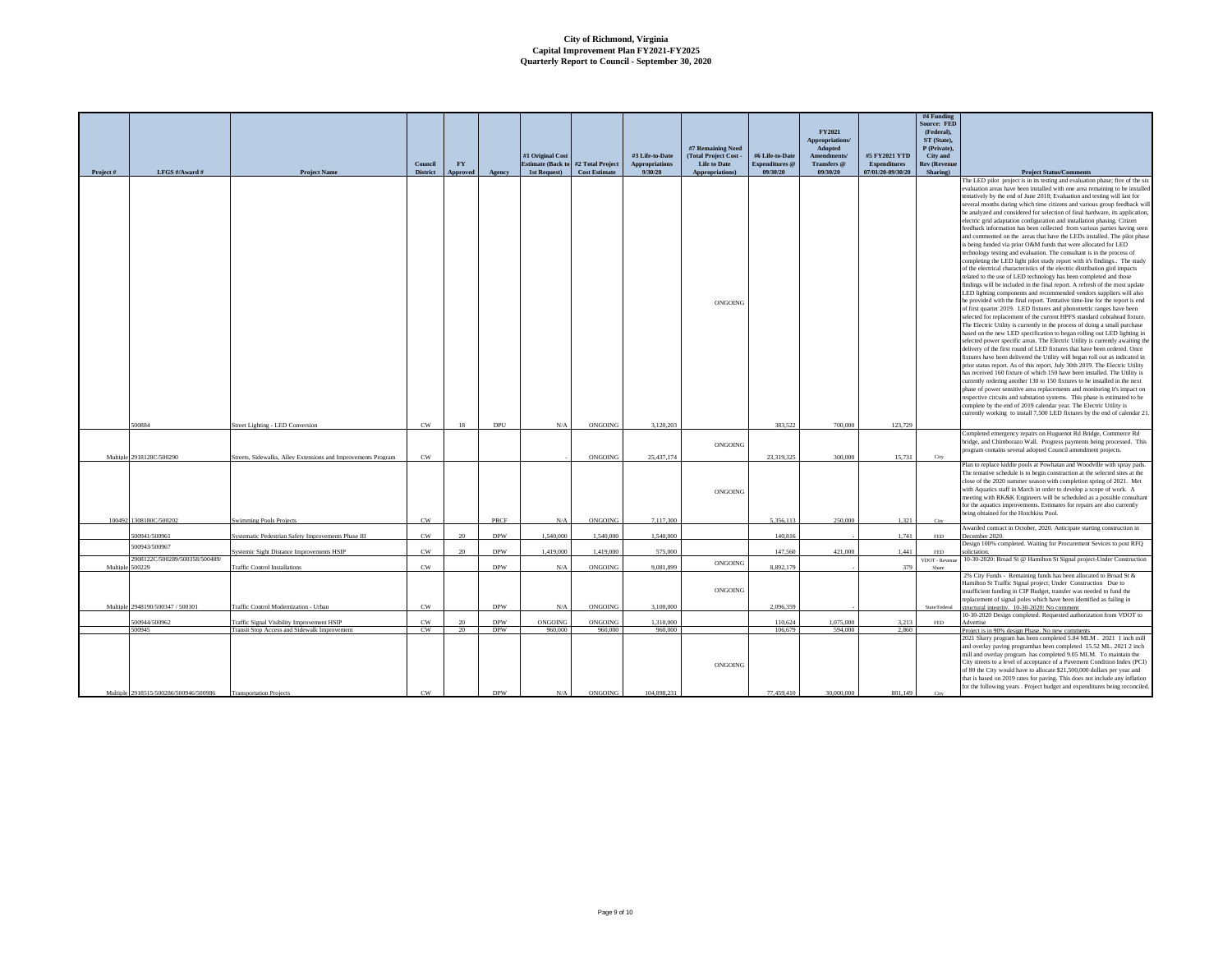|          |                                          |                                                               |                 |           |            |                          |                      |                 |                                            |                       |                        |                     | #4 Funding               |                                                                                                                                                           |
|----------|------------------------------------------|---------------------------------------------------------------|-----------------|-----------|------------|--------------------------|----------------------|-----------------|--------------------------------------------|-----------------------|------------------------|---------------------|--------------------------|-----------------------------------------------------------------------------------------------------------------------------------------------------------|
|          |                                          |                                                               |                 |           |            |                          |                      |                 |                                            |                       |                        |                     | <b>Source: FED</b>       |                                                                                                                                                           |
|          |                                          |                                                               |                 |           |            |                          |                      |                 |                                            |                       | FY2021                 |                     | (Federal).               |                                                                                                                                                           |
|          |                                          |                                                               |                 |           |            |                          |                      |                 |                                            |                       | Appropriations/        |                     | ST (State),              |                                                                                                                                                           |
|          |                                          |                                                               |                 |           |            | #1 Original Cost         |                      | #3 Life-to-Date | #7 Remaining Need<br>(Total Project Cost - | #6 Life-to-Date       | Adopted<br>Amendments/ | #5 FY2021 YTD       | P (Private),<br>City and |                                                                                                                                                           |
|          |                                          |                                                               | Council         | <b>FY</b> |            | <b>Estimate (Back to</b> | #2 Total Project     | Appropriations  | <b>Life to Date</b>                        | <b>Expenditures</b> @ | Transfers @            | <b>Expenditures</b> | <b>Rev (Revenue</b>      |                                                                                                                                                           |
| Project# | LFGS #/Award #                           | Project Name                                                  | <b>District</b> | Approved  | Agency     | 1st Request)             | <b>Cost Estimate</b> | 9/30/20         | Appropriations)                            | 09/30/20              | 09/30/20               | 07/01/20-09/30/20   | Sharing)                 | <b>Project Status/Comments</b>                                                                                                                            |
|          |                                          |                                                               |                 |           |            |                          |                      |                 |                                            |                       |                        |                     |                          | The LED pilot project is in its testing and evaluation phase; five of the six                                                                             |
|          |                                          |                                                               |                 |           |            |                          |                      |                 |                                            |                       |                        |                     |                          | evaluation areas have been installed with one area remaining to be installed                                                                              |
|          |                                          |                                                               |                 |           |            |                          |                      |                 |                                            |                       |                        |                     |                          | tentatively by the end of June 2018; Evaluation and testing will last for                                                                                 |
|          |                                          |                                                               |                 |           |            |                          |                      |                 |                                            |                       |                        |                     |                          | several months during which time citizens and various group feedback will<br>be analyzed and considered for selection of final hardware, its application  |
|          |                                          |                                                               |                 |           |            |                          |                      |                 |                                            |                       |                        |                     |                          | electric grid adaptation configuration and installation phasing. Citizen                                                                                  |
|          |                                          |                                                               |                 |           |            |                          |                      |                 |                                            |                       |                        |                     |                          | feedback information has been collected from various parties having seen                                                                                  |
|          |                                          |                                                               |                 |           |            |                          |                      |                 |                                            |                       |                        |                     |                          | and commented on the areas that have the LEDs installed. The pilot phase                                                                                  |
|          |                                          |                                                               |                 |           |            |                          |                      |                 |                                            |                       |                        |                     |                          | is being funded via prior O&M funds that were allocated for LED                                                                                           |
|          |                                          |                                                               |                 |           |            |                          |                      |                 |                                            |                       |                        |                     |                          | technology testing and evaluation. The consultant is in the process of<br>completing the LED light pilot study report with it's findings The study        |
|          |                                          |                                                               |                 |           |            |                          |                      |                 |                                            |                       |                        |                     |                          | of the electrical characteristics of the electric distribution gird impacts                                                                               |
|          |                                          |                                                               |                 |           |            |                          |                      |                 |                                            |                       |                        |                     |                          | related to the use of LED technology has been completed and those                                                                                         |
|          |                                          |                                                               |                 |           |            |                          |                      |                 |                                            |                       |                        |                     |                          | findings will be included in the final report. A refresh of the most update                                                                               |
|          |                                          |                                                               |                 |           |            |                          |                      |                 |                                            |                       |                        |                     |                          | LED lighting components and recommended vendors suppliers will also                                                                                       |
|          |                                          |                                                               |                 |           |            |                          |                      |                 | ONGOING                                    |                       |                        |                     |                          | be provided with the final report. Tentative time-line for the report is end<br>of first quarter 2019. LED fixtures and photometric ranges have been      |
|          |                                          |                                                               |                 |           |            |                          |                      |                 |                                            |                       |                        |                     |                          | selected for replacement of the current HPFS standard cobrahead fixture.                                                                                  |
|          |                                          |                                                               |                 |           |            |                          |                      |                 |                                            |                       |                        |                     |                          | The Electric Utility is currently in the process of doing a small purchase                                                                                |
|          |                                          |                                                               |                 |           |            |                          |                      |                 |                                            |                       |                        |                     |                          | based on the new LED specification to began rolling out LED lighting in                                                                                   |
|          |                                          |                                                               |                 |           |            |                          |                      |                 |                                            |                       |                        |                     |                          | selected power specific areas. The Electric Utility is currently awaiting the<br>delivery of the first round of LED fixtures that have been ordered. Once |
|          |                                          |                                                               |                 |           |            |                          |                      |                 |                                            |                       |                        |                     |                          | fixtures have been delivered the Utility will began roll out as indicated in                                                                              |
|          |                                          |                                                               |                 |           |            |                          |                      |                 |                                            |                       |                        |                     |                          | prior status report. As of this report, July 30th 2019. The Electric Utility                                                                              |
|          |                                          |                                                               |                 |           |            |                          |                      |                 |                                            |                       |                        |                     |                          | has received 160 fixture of which 150 have been installed. The Utility is                                                                                 |
|          |                                          |                                                               |                 |           |            |                          |                      |                 |                                            |                       |                        |                     |                          | currently ordering another 130 to 150 fixtures to be installed in the next                                                                                |
|          |                                          |                                                               |                 |           |            |                          |                      |                 |                                            |                       |                        |                     |                          | phase of power sensitive area replacements and monitoring it's impact on<br>respective circuits and substation systems. This phase is estimated to be     |
|          |                                          |                                                               |                 |           |            |                          |                      |                 |                                            |                       |                        |                     |                          | complete by the end of 2019 calendar year. The Electric Utility is                                                                                        |
|          |                                          |                                                               |                 |           |            |                          |                      |                 |                                            |                       |                        |                     |                          | currently working to install 7,500 LED fixtures by the end of calendar 21                                                                                 |
|          | 500884                                   | Street Lighting - LED Conversion                              | CW              | 18        | DPU        | N/A                      | ONGOING              | 3.120.203       |                                            | 383 522               | 700.000                | 123,729             |                          |                                                                                                                                                           |
|          |                                          |                                                               |                 |           |            |                          |                      |                 |                                            |                       |                        |                     |                          | Completed emergency repairs on Huguenot Rd Bridge, Commerce Rd                                                                                            |
|          |                                          |                                                               |                 |           |            |                          |                      |                 | ONGOING                                    |                       |                        |                     |                          | bridge, and Chimborazo Wall. Progress payments being processed. This                                                                                      |
| Multiple | 2918128C/500290                          | Streets, Sidewalks, Alley Extensions and Improvements Program | CW              |           |            |                          | ONGOING              | 25,437,174      |                                            | 23.319.325            | 300,000                | 15.731              | City                     | program contains several adopted Council amendment projects                                                                                               |
|          |                                          |                                                               |                 |           |            |                          |                      |                 |                                            |                       |                        |                     |                          | Plan to replace kiddie pools at Powhatan and Woodville with spray pads.                                                                                   |
|          |                                          |                                                               |                 |           |            |                          |                      |                 |                                            |                       |                        |                     |                          | The tentative schedule is to begin construction at the selected sites at the                                                                              |
|          |                                          |                                                               |                 |           |            |                          |                      |                 |                                            |                       |                        |                     |                          | close of the 2020 summer season with completion spring of 2021. Met                                                                                       |
|          |                                          |                                                               |                 |           |            |                          |                      |                 | ONGOING                                    |                       |                        |                     |                          | with Aquatics staff in March in order to develop a scope of work. A<br>meeting with RK&K Engineers will be scheduled as a possible consultant             |
|          |                                          |                                                               |                 |           |            |                          |                      |                 |                                            |                       |                        |                     |                          | for the aquatics improvements. Estimates for repairs are also currently                                                                                   |
|          |                                          |                                                               |                 |           |            |                          |                      |                 |                                            |                       |                        |                     |                          | being obtained for the Hotchkiss Pool.                                                                                                                    |
| 100492   | 1308180C/500202                          | <b>Swimming Pools Project</b>                                 | CW              |           | PRCF       | N/A                      | ONGOING              | 7,117,300       |                                            | 5.356.113             | 250,000                | 1,321               | City                     |                                                                                                                                                           |
|          | 500941/500961                            | Systematic Pedestrian Safety Improvements Phase III           | CW              | 20        | <b>DPW</b> | 1.540,000                | 1,540,000            | 1.540,000       |                                            | 140,816               |                        | 1,741               | FED                      | Awarded contract in October, 2020. Anticipate starting construction in<br>December 2020                                                                   |
|          | 500943/500967                            |                                                               |                 |           |            |                          |                      |                 |                                            |                       |                        |                     |                          | Design 100% completed. Waiting for Procurement Sevices to post RFQ                                                                                        |
|          |                                          | Systemic Sight Distance Improvements HSIP                     | $_{\rm CW}$     | $20\,$    | <b>DPW</b> | 1,419,000                | 1,419,000            | 575,000         |                                            | 147,560               | 421,000                | 1,441               | FED                      | olictation.                                                                                                                                               |
| Multiple | 2908122C/500289/500358/500489/<br>500229 | <b>Traffic Control Installations</b>                          | CW              |           | <b>DPW</b> | N/A                      | ONGOING              | 9.081.899       | ONGOING                                    | 8.892.179             |                        | 379                 | VDOT - Revenue<br>Share  | 10-30-2020: Broad St @ Hamilton St Signal project-Under Construction                                                                                      |
|          |                                          |                                                               |                 |           |            |                          |                      |                 |                                            |                       |                        |                     |                          | 2% City Funds - Remaining funds has been allocated to Broad St &                                                                                          |
|          |                                          |                                                               |                 |           |            |                          |                      |                 |                                            |                       |                        |                     |                          | Hamilton St Traffic Signal project; Under Construction Due to                                                                                             |
|          |                                          |                                                               |                 |           |            |                          |                      |                 | ONGOING                                    |                       |                        |                     |                          | insufficient funding in CIP Budget, transfer was needed to fund the                                                                                       |
| Multiple | 2948190/500347 / 500301                  | Traffic Control Modernization - Urban                         | CW              |           | <b>DPW</b> | N/A                      | ONGOING              | 3.100.000       |                                            | 2.096.359             |                        |                     | State/Federal            | replacement of signal poles which have been identified as failing in                                                                                      |
|          |                                          |                                                               |                 |           |            |                          |                      |                 |                                            |                       |                        |                     |                          | structural integrity. 10-30-2020: No comment<br>10-30-2020 Design completed. Requested authorization from VDOT to                                         |
|          | 00944/500962                             | Traffic Signal Visibility Improvement HSIP                    | CW              |           | <b>DPW</b> | ONGOING                  | ONGOING              | 1.310.000       |                                            | 110,624               | 1.075.000              | 3,213               | FED.                     | Advertise                                                                                                                                                 |
|          | 500945                                   | Transit Stop Access and Sidewalk Improvement                  | CW              | 20        | <b>DPW</b> | 960,000                  | 960,000              | 960,000         |                                            | 106,679               | 594,000                | 2,860               |                          | Project is in 90% design Phase. No new comments                                                                                                           |
|          |                                          |                                                               |                 |           |            |                          |                      |                 |                                            |                       |                        |                     |                          | 2021 Slurry program has been completed 5.84 MLM . 2021 1 inch mill<br>and overlay paving programhas been completed 15.52 ML. 2021 2 inch                  |
|          |                                          |                                                               |                 |           |            |                          |                      |                 |                                            |                       |                        |                     |                          | mill and overlay program has completed 9.05 MLM. To maintain the                                                                                          |
|          |                                          |                                                               |                 |           |            |                          |                      |                 | ONGOING                                    |                       |                        |                     |                          | City streets to a level of acceptance of a Pavement Condition Index (PCI)                                                                                 |
|          |                                          |                                                               |                 |           |            |                          |                      |                 |                                            |                       |                        |                     |                          | of 80 the City would have to allocate \$21,500,000 dollars per year and                                                                                   |
|          |                                          |                                                               |                 |           |            |                          |                      |                 |                                            |                       |                        |                     |                          | that is based on 2019 rates for paving. This does not include any inflation                                                                               |
|          | Multiple 2918515/500286/500946/500986    | <b>Transportation Projects</b>                                | CW              |           | <b>DPW</b> | N/A                      | <b>ONGOING</b>       | 104.898.231     |                                            | 77,459,410            | 30,000,000             | 801.149             |                          | for the following years . Project budget and expenditures being reconciled                                                                                |